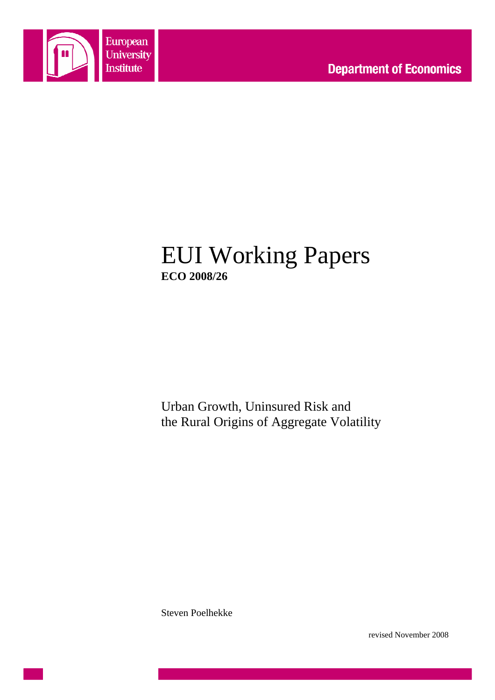

# EUI Working Papers **ECO 2008/26**

Urban Growth, Uninsured Risk and the Rural Origins of Aggregate Volatility

Steven Poelhekke

revised November 2008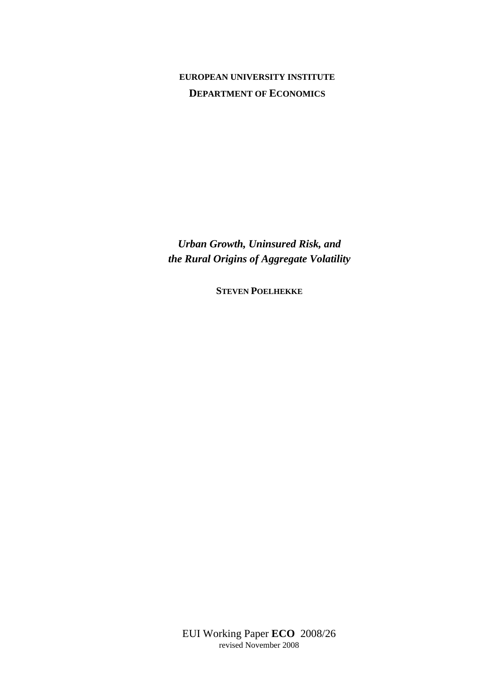## **EUROPEAN UNIVERSITY INSTITUTE DEPARTMENT OF ECONOMICS**

*Urban Growth, Uninsured Risk, and the Rural Origins of Aggregate Volatility* 

**STEVEN POELHEKKE**

EUI Working Paper **ECO** 2008/26 revised November 2008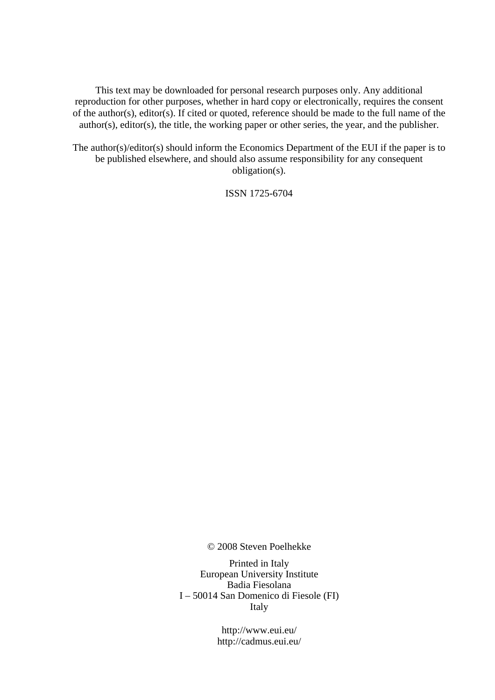This text may be downloaded for personal research purposes only. Any additional reproduction for other purposes, whether in hard copy or electronically, requires the consent of the author(s), editor(s). If cited or quoted, reference should be made to the full name of the author(s), editor(s), the title, the working paper or other series, the year, and the publisher.

The author(s)/editor(s) should inform the Economics Department of the EUI if the paper is to be published elsewhere, and should also assume responsibility for any consequent obligation(s).

ISSN 1725-6704

© 2008 Steven Poelhekke

Printed in Italy European University Institute Badia Fiesolana I – 50014 San Domenico di Fiesole (FI) Italy

> http://www.eui.eu/ http://cadmus.eui.eu/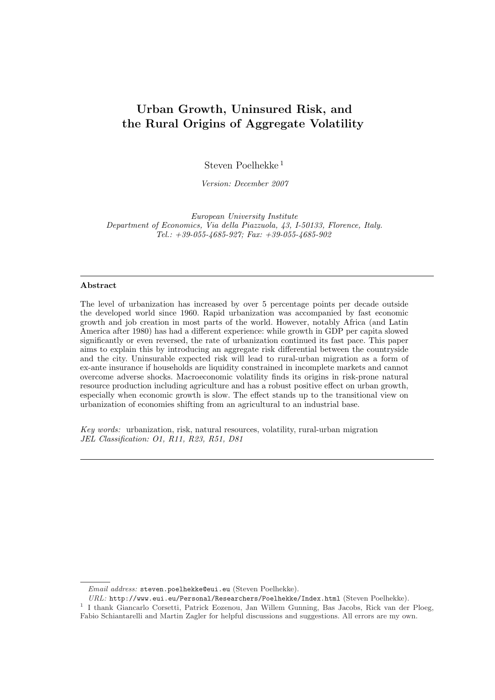## Urban Growth, Uninsured Risk, and the Rural Origins of Aggregate Volatility

Steven Poelhekke <sup>1</sup>

Version: December 2007

European University Institute Department of Economics, Via della Piazzuola, 43, I-50133, Florence, Italy.  $Tel.: +39-055-4685-927; \text{ Fax: } +39-055-4685-902$ 

#### Abstract

The level of urbanization has increased by over 5 percentage points per decade outside the developed world since 1960. Rapid urbanization was accompanied by fast economic growth and job creation in most parts of the world. However, notably Africa (and Latin America after 1980) has had a different experience: while growth in GDP per capita slowed significantly or even reversed, the rate of urbanization continued its fast pace. This paper aims to explain this by introducing an aggregate risk differential between the countryside and the city. Uninsurable expected risk will lead to rural-urban migration as a form of ex-ante insurance if households are liquidity constrained in incomplete markets and cannot overcome adverse shocks. Macroeconomic volatility finds its origins in risk-prone natural resource production including agriculture and has a robust positive effect on urban growth, especially when economic growth is slow. The effect stands up to the transitional view on urbanization of economies shifting from an agricultural to an industrial base.

Key words: urbanization, risk, natural resources, volatility, rural-urban migration JEL Classification: O1, R11, R23, R51, D81

Email address: steven.poelhekke@eui.eu (Steven Poelhekke).

URL: http://www.eui.eu/Personal/Researchers/Poelhekke/Index.html (Steven Poelhekke).

<sup>1</sup> I thank Giancarlo Corsetti, Patrick Eozenou, Jan Willem Gunning, Bas Jacobs, Rick van der Ploeg, Fabio Schiantarelli and Martin Zagler for helpful discussions and suggestions. All errors are my own.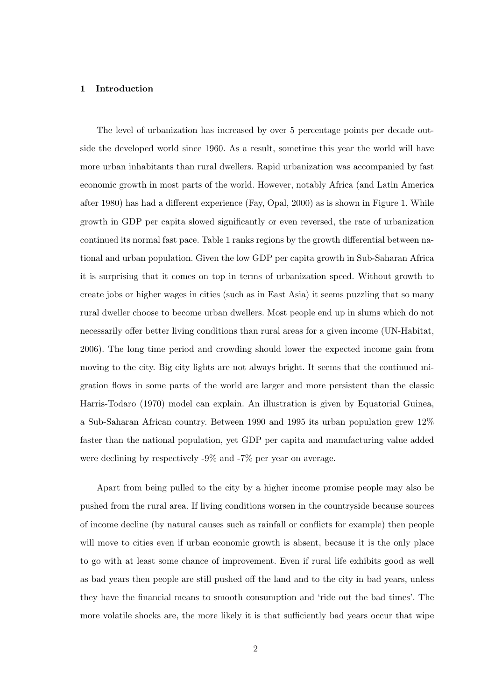#### 1 Introduction

The level of urbanization has increased by over 5 percentage points per decade outside the developed world since 1960. As a result, sometime this year the world will have more urban inhabitants than rural dwellers. Rapid urbanization was accompanied by fast economic growth in most parts of the world. However, notably Africa (and Latin America after 1980) has had a different experience (Fay, Opal, 2000) as is shown in Figure 1. While growth in GDP per capita slowed significantly or even reversed, the rate of urbanization continued its normal fast pace. Table 1 ranks regions by the growth differential between national and urban population. Given the low GDP per capita growth in Sub-Saharan Africa it is surprising that it comes on top in terms of urbanization speed. Without growth to create jobs or higher wages in cities (such as in East Asia) it seems puzzling that so many rural dweller choose to become urban dwellers. Most people end up in slums which do not necessarily offer better living conditions than rural areas for a given income (UN-Habitat, 2006). The long time period and crowding should lower the expected income gain from moving to the city. Big city lights are not always bright. It seems that the continued migration flows in some parts of the world are larger and more persistent than the classic Harris-Todaro (1970) model can explain. An illustration is given by Equatorial Guinea, a Sub-Saharan African country. Between 1990 and 1995 its urban population grew 12% faster than the national population, yet GDP per capita and manufacturing value added were declining by respectively -9% and -7% per year on average.

Apart from being pulled to the city by a higher income promise people may also be pushed from the rural area. If living conditions worsen in the countryside because sources of income decline (by natural causes such as rainfall or conflicts for example) then people will move to cities even if urban economic growth is absent, because it is the only place to go with at least some chance of improvement. Even if rural life exhibits good as well as bad years then people are still pushed off the land and to the city in bad years, unless they have the financial means to smooth consumption and 'ride out the bad times'. The more volatile shocks are, the more likely it is that sufficiently bad years occur that wipe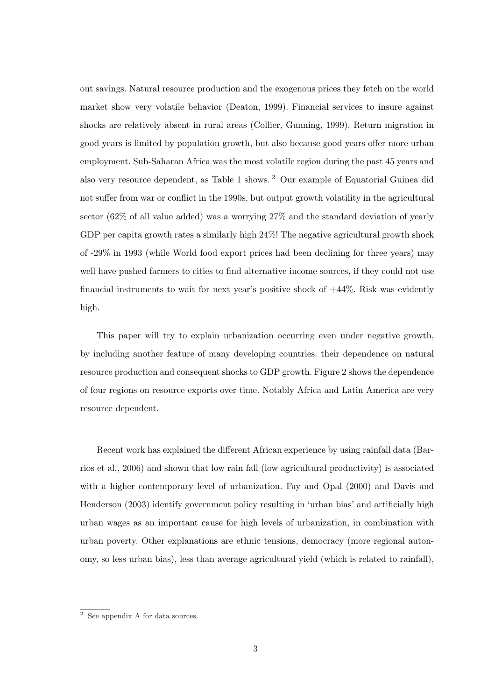out savings. Natural resource production and the exogenous prices they fetch on the world market show very volatile behavior (Deaton, 1999). Financial services to insure against shocks are relatively absent in rural areas (Collier, Gunning, 1999). Return migration in good years is limited by population growth, but also because good years offer more urban employment. Sub-Saharan Africa was the most volatile region during the past 45 years and also very resource dependent, as Table 1 shows. <sup>2</sup> Our example of Equatorial Guinea did not suffer from war or conflict in the 1990s, but output growth volatility in the agricultural sector (62% of all value added) was a worrying 27% and the standard deviation of yearly GDP per capita growth rates a similarly high 24%! The negative agricultural growth shock of -29% in 1993 (while World food export prices had been declining for three years) may well have pushed farmers to cities to find alternative income sources, if they could not use financial instruments to wait for next year's positive shock of  $+44\%$ . Risk was evidently high.

This paper will try to explain urbanization occurring even under negative growth, by including another feature of many developing countries: their dependence on natural resource production and consequent shocks to GDP growth. Figure 2 shows the dependence of four regions on resource exports over time. Notably Africa and Latin America are very resource dependent.

Recent work has explained the different African experience by using rainfall data (Barrios et al., 2006) and shown that low rain fall (low agricultural productivity) is associated with a higher contemporary level of urbanization. Fay and Opal (2000) and Davis and Henderson (2003) identify government policy resulting in 'urban bias' and artificially high urban wages as an important cause for high levels of urbanization, in combination with urban poverty. Other explanations are ethnic tensions, democracy (more regional autonomy, so less urban bias), less than average agricultural yield (which is related to rainfall),

<sup>&</sup>lt;sup>2</sup> See appendix A for data sources.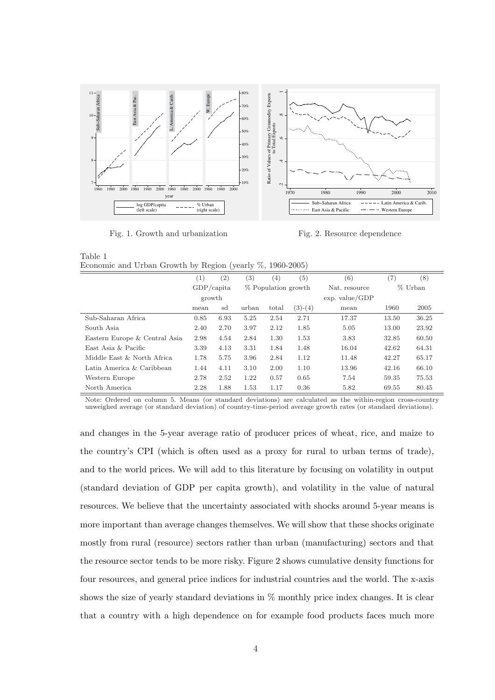

Fig. 1. Growth and urbanization

Fig. 2. Resource dependence

| Table 1                                                       |  |  |  |  |
|---------------------------------------------------------------|--|--|--|--|
| Economic and Urban Growth by Region (yearly $\%$ , 1960-2005) |  |  |  |  |

|                               | (1)                                  | $\left( 2\right)$ | (3)   | $\left(4\right)$ | (5)       | (6)                | (7)   | (8)   |
|-------------------------------|--------------------------------------|-------------------|-------|------------------|-----------|--------------------|-------|-------|
|                               | $GDP/c$ apita<br>% Population growth |                   |       | Nat. resource    | % Urban   |                    |       |       |
|                               | growth                               |                   |       |                  |           | $\exp$ . value/GDP |       |       |
|                               | mean                                 | sd                | urban | total            | $(3)-(4)$ | mean               | 1960  | 2005  |
| Sub-Saharan Africa            | 0.85                                 | 6.93              | 5.25  | 2.54             | 2.71      | 17.37              | 13.50 | 36.25 |
| South Asia                    | 2.40                                 | 2.70              | 3.97  | 2.12             | 1.85      | 5.05               | 13.00 | 23.92 |
| Eastern Europe & Central Asia | 2.98                                 | 4.54              | 2.84  | 1.30             | 1.53      | 3.83               | 32.85 | 60.50 |
| East Asia & Pacific           | 3.39                                 | 4.13              | 3.31  | 1.84             | 1.48      | 16.04              | 42.62 | 64.31 |
| Middle East & North Africa    | 1.78                                 | 5.75              | 3.96  | 2.84             | 1.12      | 11.48              | 42.27 | 65.17 |
| Latin America & Caribbean     | 1.44                                 | 4.11              | 3.10  | 2.00             | 1.10      | 13.96              | 42.16 | 66.10 |
| Western Europe                | 2.78                                 | 2.52              | 1.22  | 0.57             | 0.65      | 7.54               | 59.35 | 75.53 |
| North America                 | 2.28                                 | 1.88              | 1.53  | 1.17             | 0.36      | 5.82               | 69.55 | 80.45 |

Note: Ordered on column 5. Means (or standard deviations) are calculated as the within-region cross-country unweighed average (or standard deviation) of country-time-period average growth rates (or standard deviations).

and changes in the 5-year average ratio of producer prices of wheat, rice, and maize to the country's CPI (which is often used as a proxy for rural to urban terms of trade), and to the world prices. We will add to this literature by focusing on volatility in output (standard deviation of GDP per capita growth), and volatility in the value of natural resources. We believe that the uncertainty associated with shocks around 5-year means is more important than average changes themselves. We will show that these shocks originate mostly from rural (resource) sectors rather than urban (manufacturing) sectors and that the resource sector tends to be more risky. Figure 2 shows cumulative density functions for four resources, and general price indices for industrial countries and the world. The x-axis shows the size of yearly standard deviations in % monthly price index changes. It is clear that a country with a high dependence on for example food products faces much more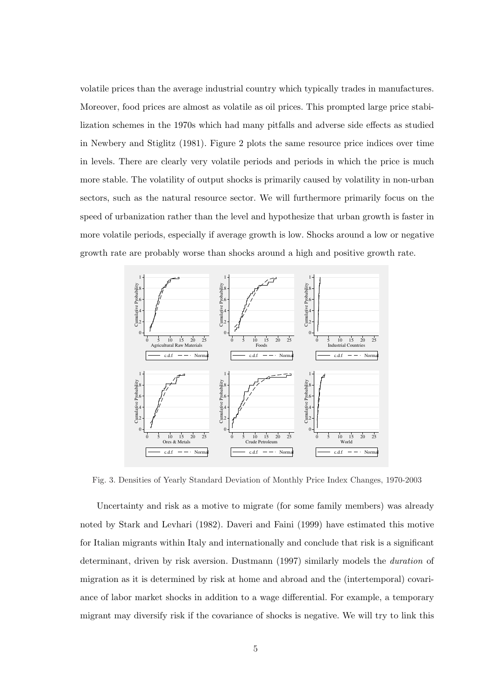volatile prices than the average industrial country which typically trades in manufactures. Moreover, food prices are almost as volatile as oil prices. This prompted large price stabilization schemes in the 1970s which had many pitfalls and adverse side effects as studied in Newbery and Stiglitz (1981). Figure 2 plots the same resource price indices over time in levels. There are clearly very volatile periods and periods in which the price is much more stable. The volatility of output shocks is primarily caused by volatility in non-urban sectors, such as the natural resource sector. We will furthermore primarily focus on the speed of urbanization rather than the level and hypothesize that urban growth is faster in more volatile periods, especially if average growth is low. Shocks around a low or negative growth rate are probably worse than shocks around a high and positive growth rate.



Fig. 3. Densities of Yearly Standard Deviation of Monthly Price Index Changes, 1970-2003

Uncertainty and risk as a motive to migrate (for some family members) was already noted by Stark and Levhari (1982). Daveri and Faini (1999) have estimated this motive for Italian migrants within Italy and internationally and conclude that risk is a significant determinant, driven by risk aversion. Dustmann (1997) similarly models the duration of migration as it is determined by risk at home and abroad and the (intertemporal) covariance of labor market shocks in addition to a wage differential. For example, a temporary migrant may diversify risk if the covariance of shocks is negative. We will try to link this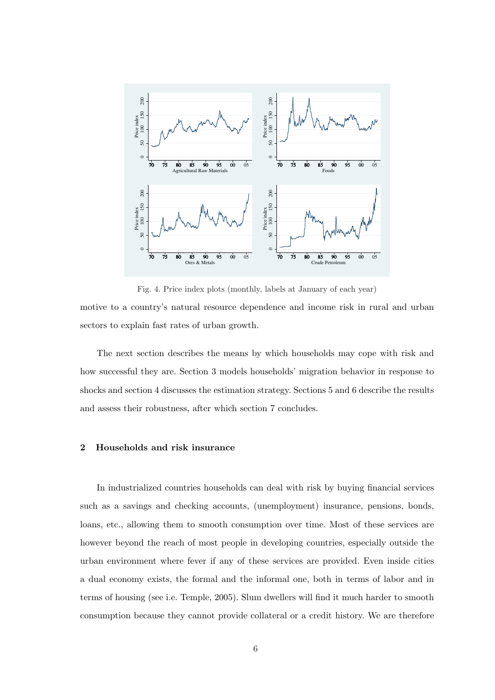

Fig. 4. Price index plots (monthly, labels at January of each year)

motive to a country's natural resource dependence and income risk in rural and urban sectors to explain fast rates of urban growth.

The next section describes the means by which households may cope with risk and how successful they are. Section 3 models households' migration behavior in response to shocks and section 4 discusses the estimation strategy. Sections 5 and 6 describe the results and assess their robustness, after which section 7 concludes.

#### 2 Households and risk insurance

In industrialized countries households can deal with risk by buying financial services such as a savings and checking accounts, (unemployment) insurance, pensions, bonds, loans, etc., allowing them to smooth consumption over time. Most of these services are however beyond the reach of most people in developing countries, especially outside the urban environment where fever if any of these services are provided. Even inside cities a dual economy exists, the formal and the informal one, both in terms of labor and in terms of housing (see i.e. Temple, 2005). Slum dwellers will find it much harder to smooth consumption because they cannot provide collateral or a credit history. We are therefore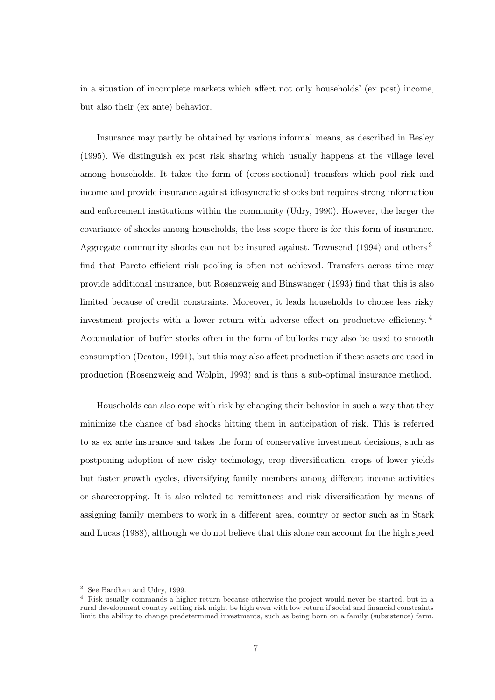in a situation of incomplete markets which affect not only households' (ex post) income, but also their (ex ante) behavior.

Insurance may partly be obtained by various informal means, as described in Besley (1995). We distinguish ex post risk sharing which usually happens at the village level among households. It takes the form of (cross-sectional) transfers which pool risk and income and provide insurance against idiosyncratic shocks but requires strong information and enforcement institutions within the community (Udry, 1990). However, the larger the covariance of shocks among households, the less scope there is for this form of insurance. Aggregate community shocks can not be insured against. Townsend (1994) and others <sup>3</sup> find that Pareto efficient risk pooling is often not achieved. Transfers across time may provide additional insurance, but Rosenzweig and Binswanger (1993) find that this is also limited because of credit constraints. Moreover, it leads households to choose less risky investment projects with a lower return with adverse effect on productive efficiency.<sup>4</sup> Accumulation of buffer stocks often in the form of bullocks may also be used to smooth consumption (Deaton, 1991), but this may also affect production if these assets are used in production (Rosenzweig and Wolpin, 1993) and is thus a sub-optimal insurance method.

Households can also cope with risk by changing their behavior in such a way that they minimize the chance of bad shocks hitting them in anticipation of risk. This is referred to as ex ante insurance and takes the form of conservative investment decisions, such as postponing adoption of new risky technology, crop diversification, crops of lower yields but faster growth cycles, diversifying family members among different income activities or sharecropping. It is also related to remittances and risk diversification by means of assigning family members to work in a different area, country or sector such as in Stark and Lucas (1988), although we do not believe that this alone can account for the high speed

<sup>3</sup> See Bardhan and Udry, 1999.

<sup>4</sup> Risk usually commands a higher return because otherwise the project would never be started, but in a rural development country setting risk might be high even with low return if social and financial constraints limit the ability to change predetermined investments, such as being born on a family (subsistence) farm.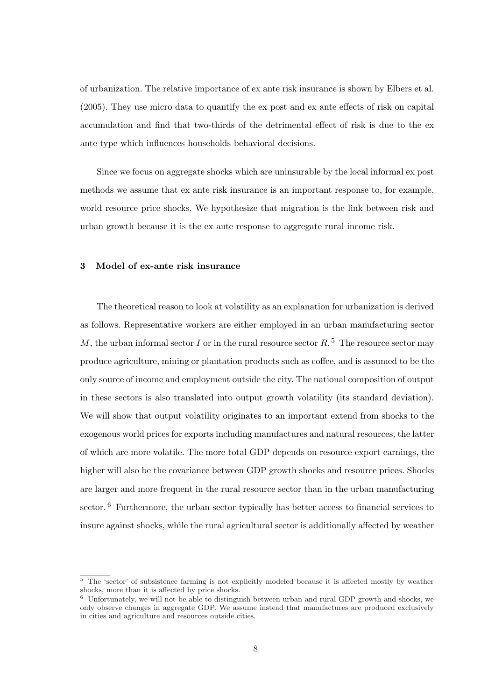of urbanization. The relative importance of ex ante risk insurance is shown by Elbers et al. (2005). They use micro data to quantify the ex post and ex ante effects of risk on capital accumulation and find that two-thirds of the detrimental effect of risk is due to the ex ante type which influences households behavioral decisions.

Since we focus on aggregate shocks which are uninsurable by the local informal ex post methods we assume that ex ante risk insurance is an important response to, for example, world resource price shocks. We hypothesize that migration is the link between risk and urban growth because it is the ex ante response to aggregate rural income risk.

#### 3 Model of ex-ante risk insurance

The theoretical reason to look at volatility as an explanation for urbanization is derived as follows. Representative workers are either employed in an urban manufacturing sector M, the urban informal sector I or in the rural resource sector R.<sup>5</sup> The resource sector may produce agriculture, mining or plantation products such as coffee, and is assumed to be the only source of income and employment outside the city. The national composition of output in these sectors is also translated into output growth volatility (its standard deviation). We will show that output volatility originates to an important extend from shocks to the exogenous world prices for exports including manufactures and natural resources, the latter of which are more volatile. The more total GDP depends on resource export earnings, the higher will also be the covariance between GDP growth shocks and resource prices. Shocks are larger and more frequent in the rural resource sector than in the urban manufacturing sector. <sup>6</sup> Furthermore, the urban sector typically has better access to financial services to insure against shocks, while the rural agricultural sector is additionally affected by weather

<sup>5</sup> The 'sector' of subsistence farming is not explicitly modeled because it is affected mostly by weather shocks, more than it is affected by price shocks.

<sup>6</sup> Unfortunately, we will not be able to distinguish between urban and rural GDP growth and shocks, we only observe changes in aggregate GDP. We assume instead that manufactures are produced exclusively in cities and agriculture and resources outside cities.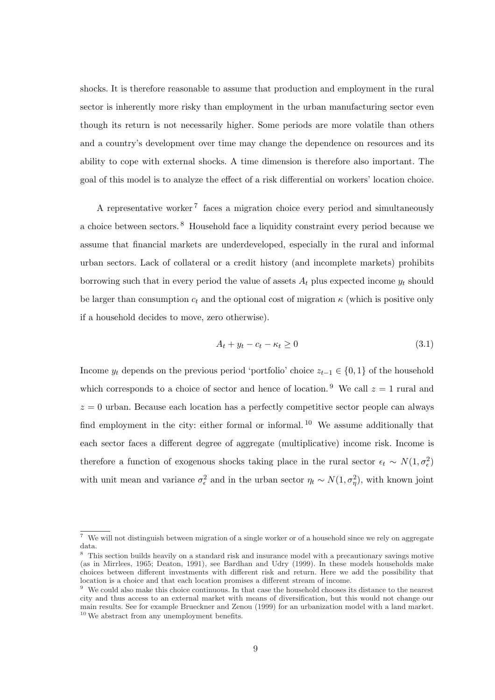shocks. It is therefore reasonable to assume that production and employment in the rural sector is inherently more risky than employment in the urban manufacturing sector even though its return is not necessarily higher. Some periods are more volatile than others and a country's development over time may change the dependence on resources and its ability to cope with external shocks. A time dimension is therefore also important. The goal of this model is to analyze the effect of a risk differential on workers' location choice.

A representative worker<sup>7</sup> faces a migration choice every period and simultaneously a choice between sectors. <sup>8</sup> Household face a liquidity constraint every period because we assume that financial markets are underdeveloped, especially in the rural and informal urban sectors. Lack of collateral or a credit history (and incomplete markets) prohibits borrowing such that in every period the value of assets  $A_t$  plus expected income  $y_t$  should be larger than consumption  $c_t$  and the optional cost of migration  $\kappa$  (which is positive only if a household decides to move, zero otherwise).

$$
A_t + y_t - c_t - \kappa_t \ge 0 \tag{3.1}
$$

Income  $y_t$  depends on the previous period 'portfolio' choice  $z_{t-1} \in \{0,1\}$  of the household which corresponds to a choice of sector and hence of location.<sup>9</sup> We call  $z = 1$  rural and  $z = 0$  urban. Because each location has a perfectly competitive sector people can always find employment in the city: either formal or informal. <sup>10</sup> We assume additionally that each sector faces a different degree of aggregate (multiplicative) income risk. Income is therefore a function of exogenous shocks taking place in the rural sector  $\epsilon_t \sim N(1, \sigma_{\epsilon}^2)$ with unit mean and variance  $\sigma_{\epsilon}^2$  and in the urban sector  $\eta_t \sim N(1, \sigma_{\eta}^2)$ , with known joint

<sup>7</sup> We will not distinguish between migration of a single worker or of a household since we rely on aggregate data.

<sup>8</sup> This section builds heavily on a standard risk and insurance model with a precautionary savings motive (as in Mirrlees, 1965; Deaton, 1991), see Bardhan and Udry (1999). In these models households make choices between different investments with different risk and return. Here we add the possibility that location is a choice and that each location promises a different stream of income.

<sup>&</sup>lt;sup>9</sup> We could also make this choice continuous. In that case the household chooses its distance to the nearest city and thus access to an external market with means of diversification, but this would not change our main results. See for example Brueckner and Zenou (1999) for an urbanization model with a land market. <sup>10</sup> We abstract from any unemployment benefits.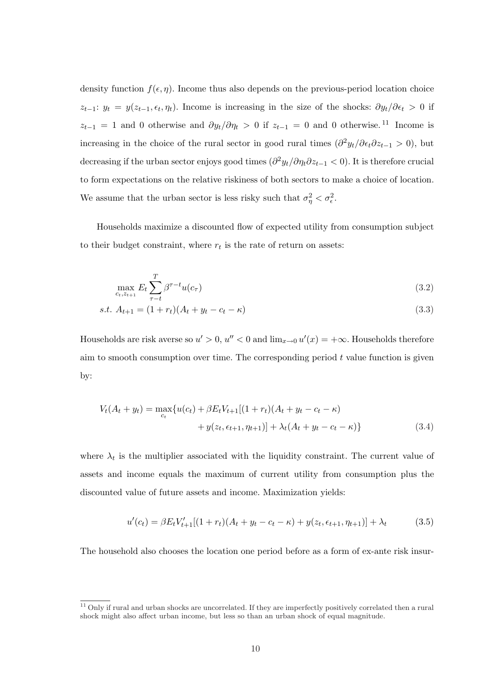density function  $f(\epsilon, \eta)$ . Income thus also depends on the previous-period location choice  $z_{t-1}: y_t = y(z_{t-1}, \epsilon_t, \eta_t)$ . Income is increasing in the size of the shocks:  $\partial y_t/\partial \epsilon_t > 0$  if  $z_{t-1} = 1$  and 0 otherwise and  $\partial y_t / \partial \eta_t > 0$  if  $z_{t-1} = 0$  and 0 otherwise.<sup>11</sup> Income is increasing in the choice of the rural sector in good rural times  $(\partial^2 y_t/\partial \epsilon_t \partial z_{t-1} > 0)$ , but decreasing if the urban sector enjoys good times  $(\partial^2 y_t/\partial \eta_t \partial z_{t-1} < 0)$ . It is therefore crucial to form expectations on the relative riskiness of both sectors to make a choice of location. We assume that the urban sector is less risky such that  $\sigma_{\eta}^2 < \sigma_{\epsilon}^2$ .

Households maximize a discounted flow of expected utility from consumption subject to their budget constraint, where  $r_t$  is the rate of return on assets:

$$
\max_{c_t, z_{t+1}} E_t \sum_{\tau-t}^T \beta^{\tau-t} u(c_\tau) \tag{3.2}
$$

$$
s.t. A_{t+1} = (1 + r_t)(A_t + y_t - c_t - \kappa)
$$
\n(3.3)

Households are risk averse so  $u' > 0$ ,  $u'' < 0$  and  $\lim_{x\to 0} u'(x) = +\infty$ . Households therefore aim to smooth consumption over time. The corresponding period  $t$  value function is given by:

$$
V_t(A_t + y_t) = \max_{c_t} \{ u(c_t) + \beta E_t V_{t+1}[(1+r_t)(A_t + y_t - c_t - \kappa) + y(z_t, \epsilon_{t+1}, \eta_{t+1})] + \lambda_t (A_t + y_t - c_t - \kappa) \}
$$
(3.4)

where  $\lambda_t$  is the multiplier associated with the liquidity constraint. The current value of assets and income equals the maximum of current utility from consumption plus the discounted value of future assets and income. Maximization yields:

$$
u'(c_t) = \beta E_t V_{t+1}'[(1+r_t)(A_t + y_t - c_t - \kappa) + y(z_t, \epsilon_{t+1}, \eta_{t+1})] + \lambda_t
$$
(3.5)

The household also chooses the location one period before as a form of ex-ante risk insur-

<sup>&</sup>lt;sup>11</sup> Only if rural and urban shocks are uncorrelated. If they are imperfectly positively correlated then a rural shock might also affect urban income, but less so than an urban shock of equal magnitude.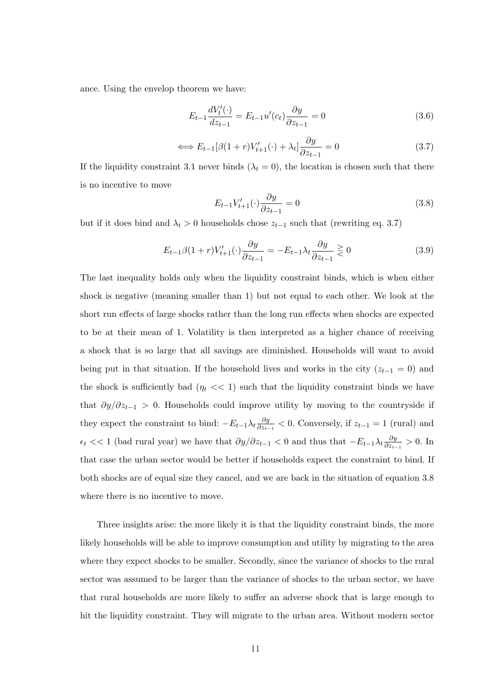ance. Using the envelop theorem we have:

$$
E_{t-1} \frac{dV'_t(\cdot)}{dz_{t-1}} = E_{t-1} u'(c_t) \frac{\partial y}{\partial z_{t-1}} = 0
$$
\n(3.6)

$$
\iff E_{t-1}[\beta(1+r)V'_{t+1}(\cdot) + \lambda_t] \frac{\partial y}{\partial z_{t-1}} = 0 \tag{3.7}
$$

If the liquidity constraint 3.1 never binds  $(\lambda_t = 0)$ , the location is chosen such that there is no incentive to move

$$
E_{t-1}V'_{t+1}(\cdot)\frac{\partial y}{\partial z_{t-1}} = 0\tag{3.8}
$$

but if it does bind and  $\lambda_t > 0$  households chose  $z_{t-1}$  such that (rewriting eq. 3.7)

$$
E_{t-1}\beta(1+r)V'_{t+1}(\cdot)\frac{\partial y}{\partial z_{t-1}} = -E_{t-1}\lambda_t \frac{\partial y}{\partial z_{t-1}} \gtrless 0
$$
\n(3.9)

The last inequality holds only when the liquidity constraint binds, which is when either shock is negative (meaning smaller than 1) but not equal to each other. We look at the short run effects of large shocks rather than the long run effects when shocks are expected to be at their mean of 1. Volatility is then interpreted as a higher chance of receiving a shock that is so large that all savings are diminished. Households will want to avoid being put in that situation. If the household lives and works in the city  $(z_{t-1} = 0)$  and the shock is sufficiently bad  $(\eta_t \ll 1)$  such that the liquidity constraint binds we have that  $\partial y/\partial z_{t-1} > 0$ . Households could improve utility by moving to the countryside if they expect the constraint to bind:  $-E_{t-1}\lambda_t\frac{\partial y}{\partial z_t}$  $\frac{\partial y}{\partial z_{t-1}}$  < 0. Conversely, if  $z_{t-1} = 1$  (rural) and  $\epsilon_t$  << 1 (bad rural year) we have that  $\partial y/\partial z_{t-1}$  < 0 and thus that  $-E_{t-1}\lambda_t \frac{\partial y}{\partial z_t}$  $\frac{\partial y}{\partial z_{t-1}} > 0$ . In that case the urban sector would be better if households expect the constraint to bind. If both shocks are of equal size they cancel, and we are back in the situation of equation 3.8 where there is no incentive to move.

Three insights arise: the more likely it is that the liquidity constraint binds, the more likely households will be able to improve consumption and utility by migrating to the area where they expect shocks to be smaller. Secondly, since the variance of shocks to the rural sector was assumed to be larger than the variance of shocks to the urban sector, we have that rural households are more likely to suffer an adverse shock that is large enough to hit the liquidity constraint. They will migrate to the urban area. Without modern sector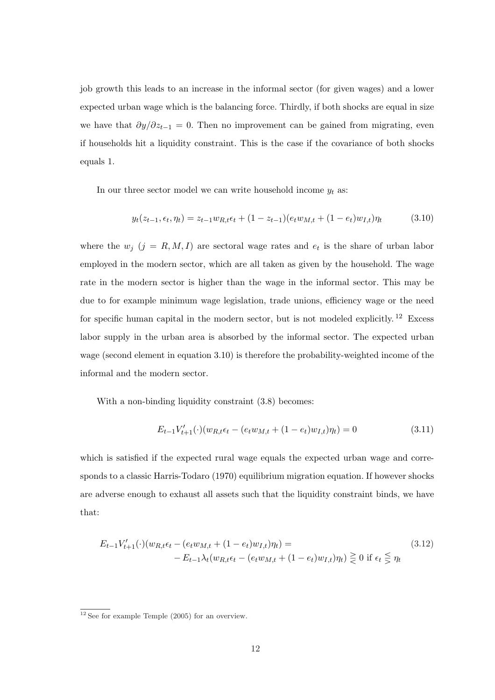job growth this leads to an increase in the informal sector (for given wages) and a lower expected urban wage which is the balancing force. Thirdly, if both shocks are equal in size we have that  $\partial y/\partial z_{t-1} = 0$ . Then no improvement can be gained from migrating, even if households hit a liquidity constraint. This is the case if the covariance of both shocks equals 1.

In our three sector model we can write household income  $y_t$  as:

$$
y_t(z_{t-1}, \epsilon_t, \eta_t) = z_{t-1} w_{R,t} \epsilon_t + (1 - z_{t-1})(e_t w_{M,t} + (1 - e_t) w_{I,t}) \eta_t \tag{3.10}
$$

where the  $w_j$   $(j = R, M, I)$  are sectoral wage rates and  $e_t$  is the share of urban labor employed in the modern sector, which are all taken as given by the household. The wage rate in the modern sector is higher than the wage in the informal sector. This may be due to for example minimum wage legislation, trade unions, efficiency wage or the need for specific human capital in the modern sector, but is not modeled explicitly.<sup>12</sup> Excess labor supply in the urban area is absorbed by the informal sector. The expected urban wage (second element in equation 3.10) is therefore the probability-weighted income of the informal and the modern sector.

With a non-binding liquidity constraint  $(3.8)$  becomes:

$$
E_{t-1}V'_{t+1}(\cdot)(w_{R,t}\epsilon_t - (e_t w_{M,t} + (1 - e_t)w_{I,t})\eta_t) = 0
$$
\n(3.11)

which is satisfied if the expected rural wage equals the expected urban wage and corresponds to a classic Harris-Todaro (1970) equilibrium migration equation. If however shocks are adverse enough to exhaust all assets such that the liquidity constraint binds, we have that:

$$
E_{t-1}V'_{t+1}(\cdot)(w_{R,t}\epsilon_t - (e_t w_{M,t} + (1 - e_t)w_{I,t})\eta_t) =
$$
  
- 
$$
E_{t-1}\lambda_t(w_{R,t}\epsilon_t - (e_t w_{M,t} + (1 - e_t)w_{I,t})\eta_t) \ge 0 \text{ if } \epsilon_t \le \eta_t
$$
 (3.12)

 $12$  See for example Temple (2005) for an overview.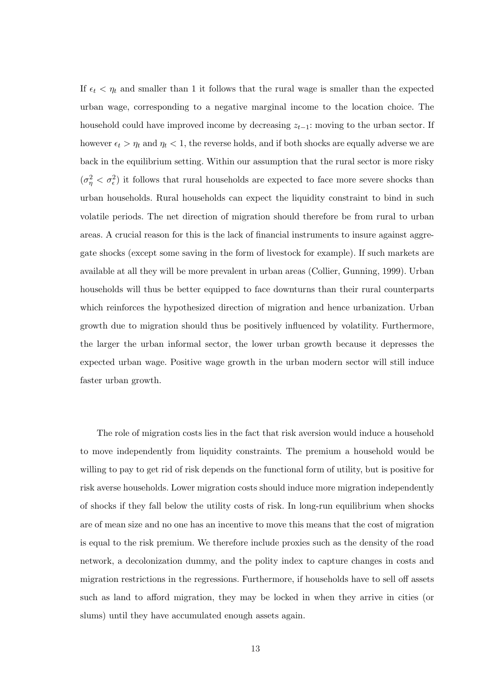If  $\epsilon_t < \eta_t$  and smaller than 1 it follows that the rural wage is smaller than the expected urban wage, corresponding to a negative marginal income to the location choice. The household could have improved income by decreasing  $z_{t-1}$ : moving to the urban sector. If however  $\epsilon_t > \eta_t$  and  $\eta_t < 1$ , the reverse holds, and if both shocks are equally adverse we are back in the equilibrium setting. Within our assumption that the rural sector is more risky  $(\sigma_{\eta}^2 < \sigma_{\epsilon}^2)$  it follows that rural households are expected to face more severe shocks than urban households. Rural households can expect the liquidity constraint to bind in such volatile periods. The net direction of migration should therefore be from rural to urban areas. A crucial reason for this is the lack of financial instruments to insure against aggregate shocks (except some saving in the form of livestock for example). If such markets are available at all they will be more prevalent in urban areas (Collier, Gunning, 1999). Urban households will thus be better equipped to face downturns than their rural counterparts which reinforces the hypothesized direction of migration and hence urbanization. Urban growth due to migration should thus be positively influenced by volatility. Furthermore, the larger the urban informal sector, the lower urban growth because it depresses the expected urban wage. Positive wage growth in the urban modern sector will still induce faster urban growth.

The role of migration costs lies in the fact that risk aversion would induce a household to move independently from liquidity constraints. The premium a household would be willing to pay to get rid of risk depends on the functional form of utility, but is positive for risk averse households. Lower migration costs should induce more migration independently of shocks if they fall below the utility costs of risk. In long-run equilibrium when shocks are of mean size and no one has an incentive to move this means that the cost of migration is equal to the risk premium. We therefore include proxies such as the density of the road network, a decolonization dummy, and the polity index to capture changes in costs and migration restrictions in the regressions. Furthermore, if households have to sell off assets such as land to afford migration, they may be locked in when they arrive in cities (or slums) until they have accumulated enough assets again.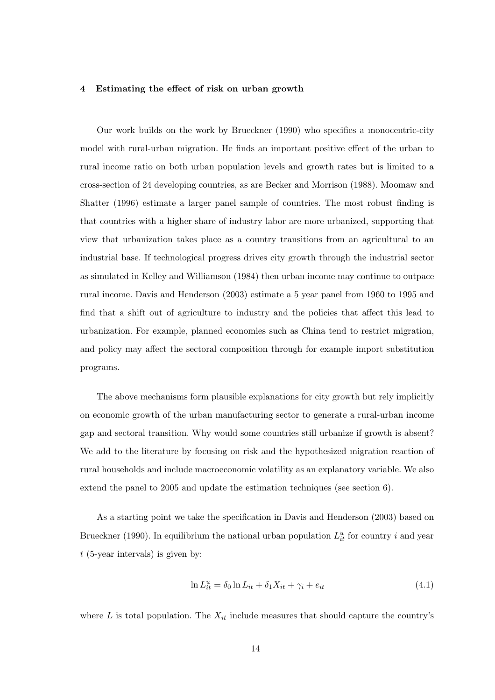#### 4 Estimating the effect of risk on urban growth

Our work builds on the work by Brueckner (1990) who specifies a monocentric-city model with rural-urban migration. He finds an important positive effect of the urban to rural income ratio on both urban population levels and growth rates but is limited to a cross-section of 24 developing countries, as are Becker and Morrison (1988). Moomaw and Shatter (1996) estimate a larger panel sample of countries. The most robust finding is that countries with a higher share of industry labor are more urbanized, supporting that view that urbanization takes place as a country transitions from an agricultural to an industrial base. If technological progress drives city growth through the industrial sector as simulated in Kelley and Williamson (1984) then urban income may continue to outpace rural income. Davis and Henderson (2003) estimate a 5 year panel from 1960 to 1995 and find that a shift out of agriculture to industry and the policies that affect this lead to urbanization. For example, planned economies such as China tend to restrict migration, and policy may affect the sectoral composition through for example import substitution programs.

The above mechanisms form plausible explanations for city growth but rely implicitly on economic growth of the urban manufacturing sector to generate a rural-urban income gap and sectoral transition. Why would some countries still urbanize if growth is absent? We add to the literature by focusing on risk and the hypothesized migration reaction of rural households and include macroeconomic volatility as an explanatory variable. We also extend the panel to 2005 and update the estimation techniques (see section 6).

As a starting point we take the specification in Davis and Henderson (2003) based on Brueckner (1990). In equilibrium the national urban population  $L_{it}^u$  for country i and year  $t$  (5-year intervals) is given by:

$$
\ln L_{it}^{u} = \delta_0 \ln L_{it} + \delta_1 X_{it} + \gamma_i + e_{it}
$$
\n(4.1)

where L is total population. The  $X_{it}$  include measures that should capture the country's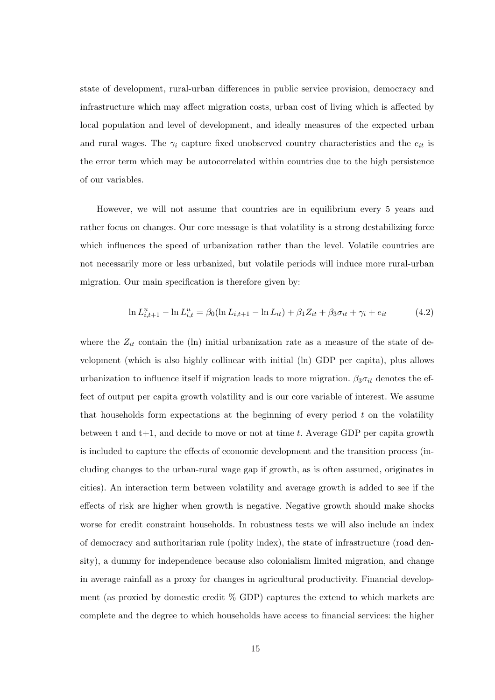state of development, rural-urban differences in public service provision, democracy and infrastructure which may affect migration costs, urban cost of living which is affected by local population and level of development, and ideally measures of the expected urban and rural wages. The  $\gamma_i$  capture fixed unobserved country characteristics and the  $e_{it}$  is the error term which may be autocorrelated within countries due to the high persistence of our variables.

However, we will not assume that countries are in equilibrium every 5 years and rather focus on changes. Our core message is that volatility is a strong destabilizing force which influences the speed of urbanization rather than the level. Volatile countries are not necessarily more or less urbanized, but volatile periods will induce more rural-urban migration. Our main specification is therefore given by:

$$
\ln L_{i,t+1}^u - \ln L_{i,t}^u = \beta_0 (\ln L_{i,t+1} - \ln L_{it}) + \beta_1 Z_{it} + \beta_3 \sigma_{it} + \gamma_i + e_{it} \tag{4.2}
$$

where the  $Z_{it}$  contain the (ln) initial urbanization rate as a measure of the state of development (which is also highly collinear with initial (ln) GDP per capita), plus allows urbanization to influence itself if migration leads to more migration.  $\beta_3 \sigma_{it}$  denotes the effect of output per capita growth volatility and is our core variable of interest. We assume that households form expectations at the beginning of every period  $t$  on the volatility between t and  $t+1$ , and decide to move or not at time t. Average GDP per capita growth is included to capture the effects of economic development and the transition process (including changes to the urban-rural wage gap if growth, as is often assumed, originates in cities). An interaction term between volatility and average growth is added to see if the effects of risk are higher when growth is negative. Negative growth should make shocks worse for credit constraint households. In robustness tests we will also include an index of democracy and authoritarian rule (polity index), the state of infrastructure (road density), a dummy for independence because also colonialism limited migration, and change in average rainfall as a proxy for changes in agricultural productivity. Financial development (as proxied by domestic credit % GDP) captures the extend to which markets are complete and the degree to which households have access to financial services: the higher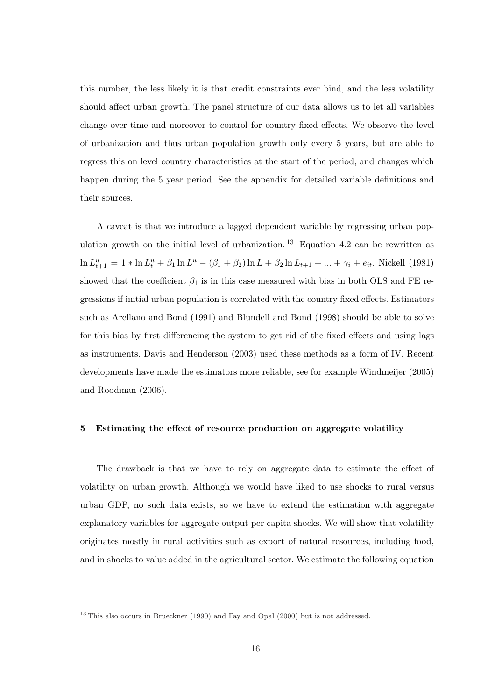this number, the less likely it is that credit constraints ever bind, and the less volatility should affect urban growth. The panel structure of our data allows us to let all variables change over time and moreover to control for country fixed effects. We observe the level of urbanization and thus urban population growth only every 5 years, but are able to regress this on level country characteristics at the start of the period, and changes which happen during the 5 year period. See the appendix for detailed variable definitions and their sources.

A caveat is that we introduce a lagged dependent variable by regressing urban population growth on the initial level of urbanization.<sup>13</sup> Equation 4.2 can be rewritten as  $\ln L_{t+1}^u = 1 * \ln L_t^u + \beta_1 \ln L^u - (\beta_1 + \beta_2) \ln L + \beta_2 \ln L_{t+1} + ... + \gamma_i + e_{it}$ . Nickell (1981) showed that the coefficient  $\beta_1$  is in this case measured with bias in both OLS and FE regressions if initial urban population is correlated with the country fixed effects. Estimators such as Arellano and Bond (1991) and Blundell and Bond (1998) should be able to solve for this bias by first differencing the system to get rid of the fixed effects and using lags as instruments. Davis and Henderson (2003) used these methods as a form of IV. Recent developments have made the estimators more reliable, see for example Windmeijer (2005) and Roodman (2006).

#### 5 Estimating the effect of resource production on aggregate volatility

The drawback is that we have to rely on aggregate data to estimate the effect of volatility on urban growth. Although we would have liked to use shocks to rural versus urban GDP, no such data exists, so we have to extend the estimation with aggregate explanatory variables for aggregate output per capita shocks. We will show that volatility originates mostly in rural activities such as export of natural resources, including food, and in shocks to value added in the agricultural sector. We estimate the following equation

<sup>&</sup>lt;sup>13</sup> This also occurs in Brueckner (1990) and Fay and Opal (2000) but is not addressed.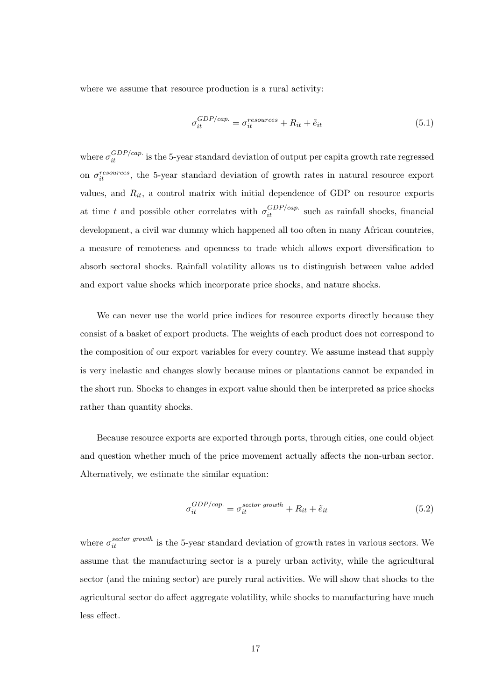where we assume that resource production is a rural activity:

$$
\sigma_{it}^{GDP/cap.} = \sigma_{it}^{resources} + R_{it} + \tilde{e}_{it}
$$
\n(5.1)

where  $\sigma_{it}^{GDP/cap.}$  is the 5-year standard deviation of output per capita growth rate regressed on  $\sigma_{it}^{resources}$ , the 5-year standard deviation of growth rates in natural resource export values, and  $R_{it}$ , a control matrix with initial dependence of GDP on resource exports at time t and possible other correlates with  $\sigma_{it}^{GDP/cap.}$  such as rainfall shocks, financial development, a civil war dummy which happened all too often in many African countries, a measure of remoteness and openness to trade which allows export diversification to absorb sectoral shocks. Rainfall volatility allows us to distinguish between value added and export value shocks which incorporate price shocks, and nature shocks.

We can never use the world price indices for resource exports directly because they consist of a basket of export products. The weights of each product does not correspond to the composition of our export variables for every country. We assume instead that supply is very inelastic and changes slowly because mines or plantations cannot be expanded in the short run. Shocks to changes in export value should then be interpreted as price shocks rather than quantity shocks.

Because resource exports are exported through ports, through cities, one could object and question whether much of the price movement actually affects the non-urban sector. Alternatively, we estimate the similar equation:

$$
\sigma_{it}^{GDP/cap.} = \sigma_{it}^{sector\ growth} + R_{it} + \tilde{e}_{it}
$$
\n(5.2)

where  $\sigma_{it}^{sector\ growth}$  is the 5-year standard deviation of growth rates in various sectors. We assume that the manufacturing sector is a purely urban activity, while the agricultural sector (and the mining sector) are purely rural activities. We will show that shocks to the agricultural sector do affect aggregate volatility, while shocks to manufacturing have much less effect.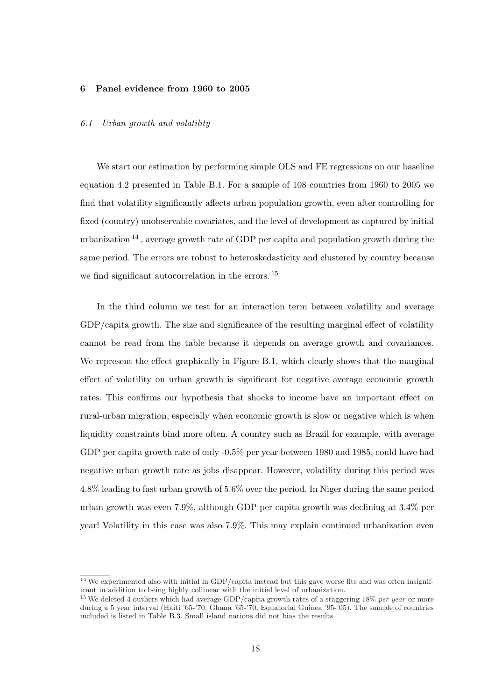#### 6 Panel evidence from 1960 to 2005

#### 6.1 Urban growth and volatility

We start our estimation by performing simple OLS and FE regressions on our baseline equation 4.2 presented in Table B.1. For a sample of 108 countries from 1960 to 2005 we find that volatility significantly affects urban population growth, even after controlling for fixed (country) unobservable covariates, and the level of development as captured by initial urbanization  $^{14}$ , average growth rate of GDP per capita and population growth during the same period. The errors are robust to heteroskedasticity and clustered by country because we find significant autocorrelation in the errors.<sup>15</sup>

In the third column we test for an interaction term between volatility and average GDP/capita growth. The size and significance of the resulting marginal effect of volatility cannot be read from the table because it depends on average growth and covariances. We represent the effect graphically in Figure B.1, which clearly shows that the marginal effect of volatility on urban growth is significant for negative average economic growth rates. This confirms our hypothesis that shocks to income have an important effect on rural-urban migration, especially when economic growth is slow or negative which is when liquidity constraints bind more often. A country such as Brazil for example, with average GDP per capita growth rate of only -0.5% per year between 1980 and 1985, could have had negative urban growth rate as jobs disappear. However, volatility during this period was 4.8% leading to fast urban growth of 5.6% over the period. In Niger during the same period urban growth was even 7.9%, although GDP per capita growth was declining at 3.4% per year! Volatility in this case was also 7.9%. This may explain continued urbanization even

 $14$  We experimented also with initial ln GDP/capita instead but this gave worse fits and was often insignificant in addition to being highly collinear with the initial level of urbanization.

<sup>&</sup>lt;sup>15</sup> We deleted 4 outliers which had average GDP/capita growth rates of a staggering 18% per year or more during a 5 year interval (Haiti '65-'70, Ghana '65-'70, Equatorial Guinea '95-'05). The sample of countries included is listed in Table B.3. Small island nations did not bias the results.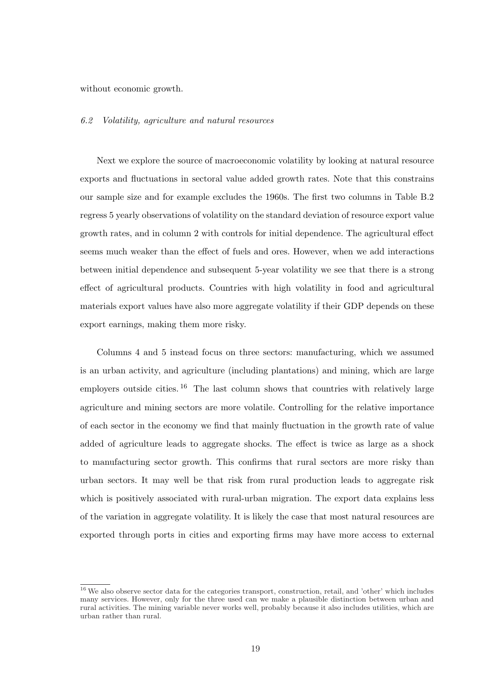without economic growth.

#### 6.2 Volatility, agriculture and natural resources

Next we explore the source of macroeconomic volatility by looking at natural resource exports and fluctuations in sectoral value added growth rates. Note that this constrains our sample size and for example excludes the 1960s. The first two columns in Table B.2 regress 5 yearly observations of volatility on the standard deviation of resource export value growth rates, and in column 2 with controls for initial dependence. The agricultural effect seems much weaker than the effect of fuels and ores. However, when we add interactions between initial dependence and subsequent 5-year volatility we see that there is a strong effect of agricultural products. Countries with high volatility in food and agricultural materials export values have also more aggregate volatility if their GDP depends on these export earnings, making them more risky.

Columns 4 and 5 instead focus on three sectors: manufacturing, which we assumed is an urban activity, and agriculture (including plantations) and mining, which are large employers outside cities.  $16$  The last column shows that countries with relatively large agriculture and mining sectors are more volatile. Controlling for the relative importance of each sector in the economy we find that mainly fluctuation in the growth rate of value added of agriculture leads to aggregate shocks. The effect is twice as large as a shock to manufacturing sector growth. This confirms that rural sectors are more risky than urban sectors. It may well be that risk from rural production leads to aggregate risk which is positively associated with rural-urban migration. The export data explains less of the variation in aggregate volatility. It is likely the case that most natural resources are exported through ports in cities and exporting firms may have more access to external

<sup>&</sup>lt;sup>16</sup> We also observe sector data for the categories transport, construction, retail, and 'other' which includes many services. However, only for the three used can we make a plausible distinction between urban and rural activities. The mining variable never works well, probably because it also includes utilities, which are urban rather than rural.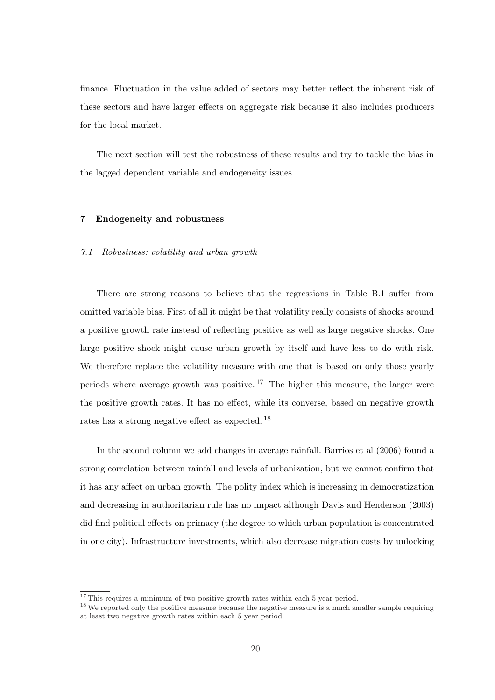finance. Fluctuation in the value added of sectors may better reflect the inherent risk of these sectors and have larger effects on aggregate risk because it also includes producers for the local market.

The next section will test the robustness of these results and try to tackle the bias in the lagged dependent variable and endogeneity issues.

#### 7 Endogeneity and robustness

#### 7.1 Robustness: volatility and urban growth

There are strong reasons to believe that the regressions in Table B.1 suffer from omitted variable bias. First of all it might be that volatility really consists of shocks around a positive growth rate instead of reflecting positive as well as large negative shocks. One large positive shock might cause urban growth by itself and have less to do with risk. We therefore replace the volatility measure with one that is based on only those yearly periods where average growth was positive.<sup>17</sup> The higher this measure, the larger were the positive growth rates. It has no effect, while its converse, based on negative growth rates has a strong negative effect as expected. <sup>18</sup>

In the second column we add changes in average rainfall. Barrios et al (2006) found a strong correlation between rainfall and levels of urbanization, but we cannot confirm that it has any affect on urban growth. The polity index which is increasing in democratization and decreasing in authoritarian rule has no impact although Davis and Henderson (2003) did find political effects on primacy (the degree to which urban population is concentrated in one city). Infrastructure investments, which also decrease migration costs by unlocking

<sup>&</sup>lt;sup>17</sup> This requires a minimum of two positive growth rates within each 5 year period.

<sup>&</sup>lt;sup>18</sup> We reported only the positive measure because the negative measure is a much smaller sample requiring at least two negative growth rates within each 5 year period.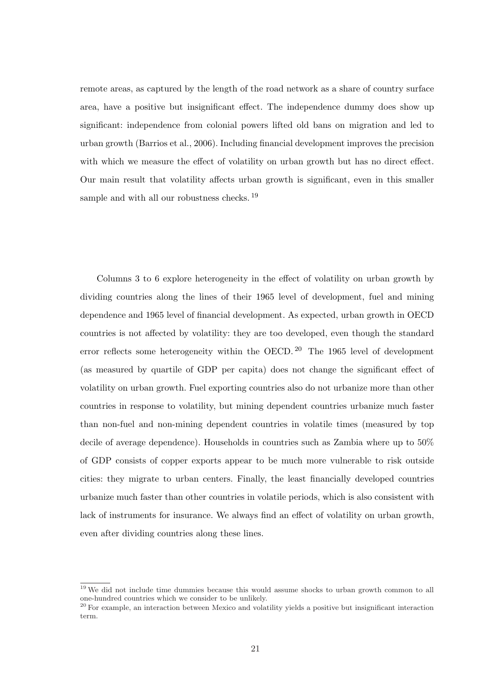remote areas, as captured by the length of the road network as a share of country surface area, have a positive but insignificant effect. The independence dummy does show up significant: independence from colonial powers lifted old bans on migration and led to urban growth (Barrios et al., 2006). Including financial development improves the precision with which we measure the effect of volatility on urban growth but has no direct effect. Our main result that volatility affects urban growth is significant, even in this smaller sample and with all our robustness checks. <sup>19</sup>

Columns 3 to 6 explore heterogeneity in the effect of volatility on urban growth by dividing countries along the lines of their 1965 level of development, fuel and mining dependence and 1965 level of financial development. As expected, urban growth in OECD countries is not affected by volatility: they are too developed, even though the standard error reflects some heterogeneity within the OECD. <sup>20</sup> The 1965 level of development (as measured by quartile of GDP per capita) does not change the significant effect of volatility on urban growth. Fuel exporting countries also do not urbanize more than other countries in response to volatility, but mining dependent countries urbanize much faster than non-fuel and non-mining dependent countries in volatile times (measured by top decile of average dependence). Households in countries such as Zambia where up to 50% of GDP consists of copper exports appear to be much more vulnerable to risk outside cities: they migrate to urban centers. Finally, the least financially developed countries urbanize much faster than other countries in volatile periods, which is also consistent with lack of instruments for insurance. We always find an effect of volatility on urban growth, even after dividing countries along these lines.

<sup>&</sup>lt;sup>19</sup> We did not include time dummies because this would assume shocks to urban growth common to all one-hundred countries which we consider to be unlikely.

<sup>&</sup>lt;sup>20</sup> For example, an interaction between Mexico and volatility yields a positive but insignificant interaction term.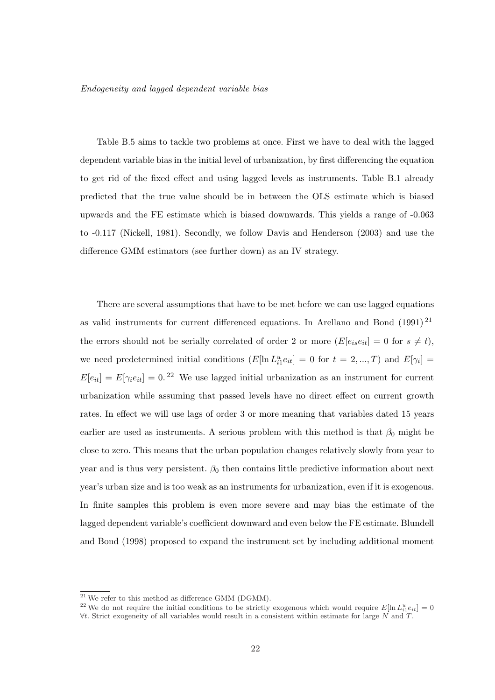Table B.5 aims to tackle two problems at once. First we have to deal with the lagged dependent variable bias in the initial level of urbanization, by first differencing the equation to get rid of the fixed effect and using lagged levels as instruments. Table B.1 already predicted that the true value should be in between the OLS estimate which is biased upwards and the FE estimate which is biased downwards. This yields a range of -0.063 to -0.117 (Nickell, 1981). Secondly, we follow Davis and Henderson (2003) and use the difference GMM estimators (see further down) as an IV strategy.

There are several assumptions that have to be met before we can use lagged equations as valid instruments for current differenced equations. In Arellano and Bond (1991) <sup>21</sup> the errors should not be serially correlated of order 2 or more  $(E[e_i, e_{it}] = 0$  for  $s \neq t)$ , we need predetermined initial conditions  $(E[\ln L_{i1}^u e_{it}] = 0$  for  $t = 2, ..., T)$  and  $E[\gamma_i] =$  $E[e_{it}] = E[\gamma_i e_{it}] = 0$ . <sup>22</sup> We use lagged initial urbanization as an instrument for current urbanization while assuming that passed levels have no direct effect on current growth rates. In effect we will use lags of order 3 or more meaning that variables dated 15 years earlier are used as instruments. A serious problem with this method is that  $\beta_0$  might be close to zero. This means that the urban population changes relatively slowly from year to year and is thus very persistent.  $\beta_0$  then contains little predictive information about next year's urban size and is too weak as an instruments for urbanization, even if it is exogenous. In finite samples this problem is even more severe and may bias the estimate of the lagged dependent variable's coefficient downward and even below the FE estimate. Blundell and Bond (1998) proposed to expand the instrument set by including additional moment

 $^{21}$  We refer to this method as difference-GMM (DGMM).

<sup>&</sup>lt;sup>22</sup> We do not require the initial conditions to be strictly exogenous which would require  $E[\ln L_{i1}^u e_{it}] = 0$ 

 $\forall t$ . Strict exogeneity of all variables would result in a consistent within estimate for large N and T.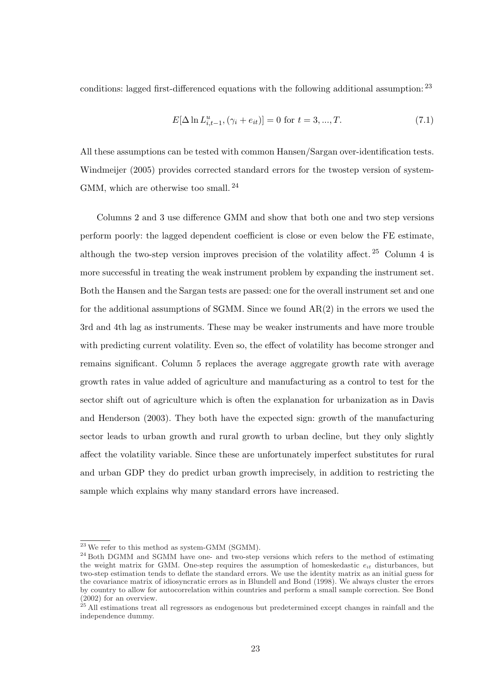conditions: lagged first-differenced equations with the following additional assumption: <sup>23</sup>

$$
E[\Delta \ln L_{i,t-1}^u, (\gamma_i + e_{it})] = 0 \text{ for } t = 3, ..., T.
$$
 (7.1)

All these assumptions can be tested with common Hansen/Sargan over-identification tests. Windmeijer (2005) provides corrected standard errors for the twostep version of system-GMM, which are otherwise too small. <sup>24</sup>

Columns 2 and 3 use difference GMM and show that both one and two step versions perform poorly: the lagged dependent coefficient is close or even below the FE estimate, although the two-step version improves precision of the volatility affect. <sup>25</sup> Column 4 is more successful in treating the weak instrument problem by expanding the instrument set. Both the Hansen and the Sargan tests are passed: one for the overall instrument set and one for the additional assumptions of SGMM. Since we found AR(2) in the errors we used the 3rd and 4th lag as instruments. These may be weaker instruments and have more trouble with predicting current volatility. Even so, the effect of volatility has become stronger and remains significant. Column 5 replaces the average aggregate growth rate with average growth rates in value added of agriculture and manufacturing as a control to test for the sector shift out of agriculture which is often the explanation for urbanization as in Davis and Henderson (2003). They both have the expected sign: growth of the manufacturing sector leads to urban growth and rural growth to urban decline, but they only slightly affect the volatility variable. Since these are unfortunately imperfect substitutes for rural and urban GDP they do predict urban growth imprecisely, in addition to restricting the sample which explains why many standard errors have increased.

<sup>23</sup> We refer to this method as system-GMM (SGMM).

 $^{24}$  Both DGMM and SGMM have one- and two-step versions which refers to the method of estimating the weight matrix for GMM. One-step requires the assumption of homeskedastic  $e_{it}$  disturbances, but two-step estimation tends to deflate the standard errors. We use the identity matrix as an initial guess for the covariance matrix of idiosyncratic errors as in Blundell and Bond (1998). We always cluster the errors by country to allow for autocorrelation within countries and perform a small sample correction. See Bond (2002) for an overview.

<sup>&</sup>lt;sup>25</sup> All estimations treat all regressors as endogenous but predetermined except changes in rainfall and the independence dummy.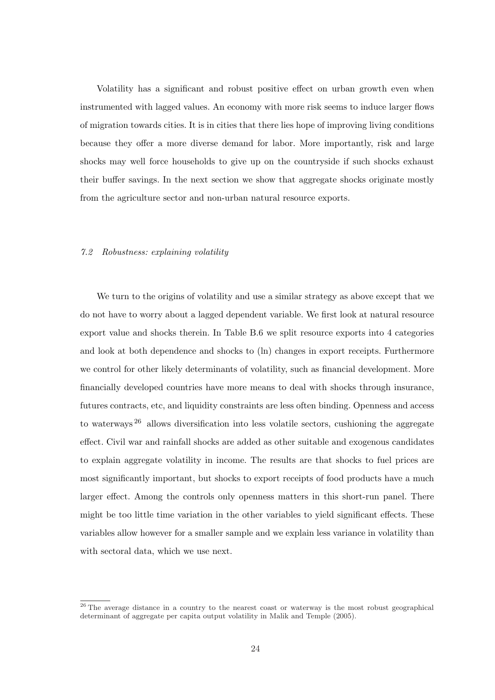Volatility has a significant and robust positive effect on urban growth even when instrumented with lagged values. An economy with more risk seems to induce larger flows of migration towards cities. It is in cities that there lies hope of improving living conditions because they offer a more diverse demand for labor. More importantly, risk and large shocks may well force households to give up on the countryside if such shocks exhaust their buffer savings. In the next section we show that aggregate shocks originate mostly from the agriculture sector and non-urban natural resource exports.

#### 7.2 Robustness: explaining volatility

We turn to the origins of volatility and use a similar strategy as above except that we do not have to worry about a lagged dependent variable. We first look at natural resource export value and shocks therein. In Table B.6 we split resource exports into 4 categories and look at both dependence and shocks to (ln) changes in export receipts. Furthermore we control for other likely determinants of volatility, such as financial development. More financially developed countries have more means to deal with shocks through insurance, futures contracts, etc, and liquidity constraints are less often binding. Openness and access to waterways <sup>26</sup> allows diversification into less volatile sectors, cushioning the aggregate effect. Civil war and rainfall shocks are added as other suitable and exogenous candidates to explain aggregate volatility in income. The results are that shocks to fuel prices are most significantly important, but shocks to export receipts of food products have a much larger effect. Among the controls only openness matters in this short-run panel. There might be too little time variation in the other variables to yield significant effects. These variables allow however for a smaller sample and we explain less variance in volatility than with sectoral data, which we use next.

<sup>&</sup>lt;sup>26</sup> The average distance in a country to the nearest coast or waterway is the most robust geographical determinant of aggregate per capita output volatility in Malik and Temple (2005).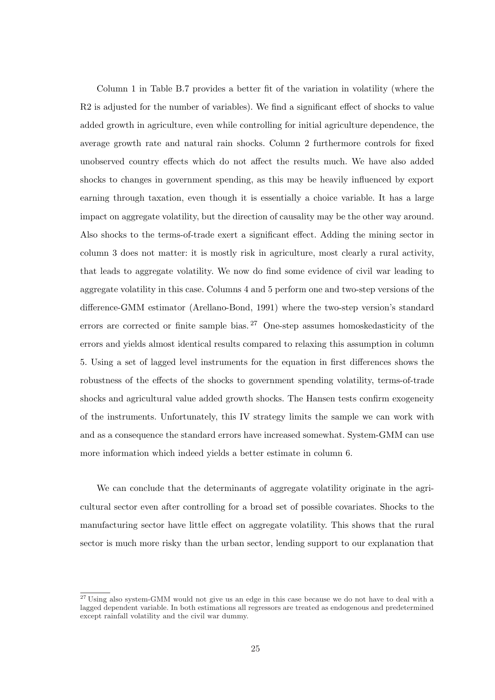Column 1 in Table B.7 provides a better fit of the variation in volatility (where the R2 is adjusted for the number of variables). We find a significant effect of shocks to value added growth in agriculture, even while controlling for initial agriculture dependence, the average growth rate and natural rain shocks. Column 2 furthermore controls for fixed unobserved country effects which do not affect the results much. We have also added shocks to changes in government spending, as this may be heavily influenced by export earning through taxation, even though it is essentially a choice variable. It has a large impact on aggregate volatility, but the direction of causality may be the other way around. Also shocks to the terms-of-trade exert a significant effect. Adding the mining sector in column 3 does not matter: it is mostly risk in agriculture, most clearly a rural activity, that leads to aggregate volatility. We now do find some evidence of civil war leading to aggregate volatility in this case. Columns 4 and 5 perform one and two-step versions of the difference-GMM estimator (Arellano-Bond, 1991) where the two-step version's standard errors are corrected or finite sample bias.  $27$  One-step assumes homoskedasticity of the errors and yields almost identical results compared to relaxing this assumption in column 5. Using a set of lagged level instruments for the equation in first differences shows the robustness of the effects of the shocks to government spending volatility, terms-of-trade shocks and agricultural value added growth shocks. The Hansen tests confirm exogeneity of the instruments. Unfortunately, this IV strategy limits the sample we can work with and as a consequence the standard errors have increased somewhat. System-GMM can use more information which indeed yields a better estimate in column 6.

We can conclude that the determinants of aggregate volatility originate in the agricultural sector even after controlling for a broad set of possible covariates. Shocks to the manufacturing sector have little effect on aggregate volatility. This shows that the rural sector is much more risky than the urban sector, lending support to our explanation that

<sup>&</sup>lt;sup>27</sup> Using also system-GMM would not give us an edge in this case because we do not have to deal with a lagged dependent variable. In both estimations all regressors are treated as endogenous and predetermined except rainfall volatility and the civil war dummy.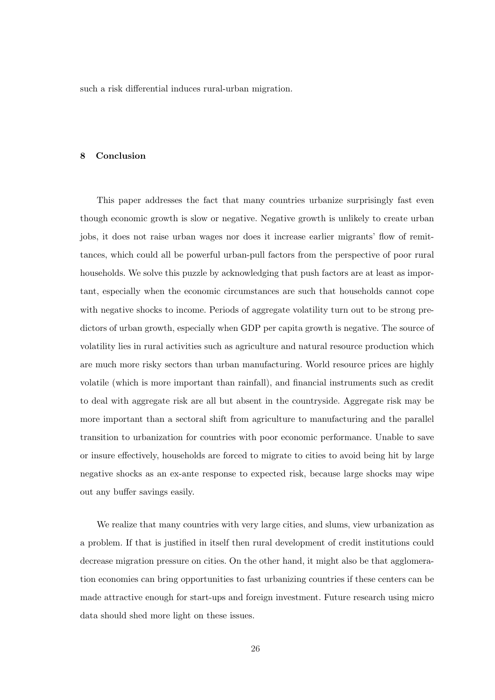such a risk differential induces rural-urban migration.

#### 8 Conclusion

This paper addresses the fact that many countries urbanize surprisingly fast even though economic growth is slow or negative. Negative growth is unlikely to create urban jobs, it does not raise urban wages nor does it increase earlier migrants' flow of remittances, which could all be powerful urban-pull factors from the perspective of poor rural households. We solve this puzzle by acknowledging that push factors are at least as important, especially when the economic circumstances are such that households cannot cope with negative shocks to income. Periods of aggregate volatility turn out to be strong predictors of urban growth, especially when GDP per capita growth is negative. The source of volatility lies in rural activities such as agriculture and natural resource production which are much more risky sectors than urban manufacturing. World resource prices are highly volatile (which is more important than rainfall), and financial instruments such as credit to deal with aggregate risk are all but absent in the countryside. Aggregate risk may be more important than a sectoral shift from agriculture to manufacturing and the parallel transition to urbanization for countries with poor economic performance. Unable to save or insure effectively, households are forced to migrate to cities to avoid being hit by large negative shocks as an ex-ante response to expected risk, because large shocks may wipe out any buffer savings easily.

We realize that many countries with very large cities, and slums, view urbanization as a problem. If that is justified in itself then rural development of credit institutions could decrease migration pressure on cities. On the other hand, it might also be that agglomeration economies can bring opportunities to fast urbanizing countries if these centers can be made attractive enough for start-ups and foreign investment. Future research using micro data should shed more light on these issues.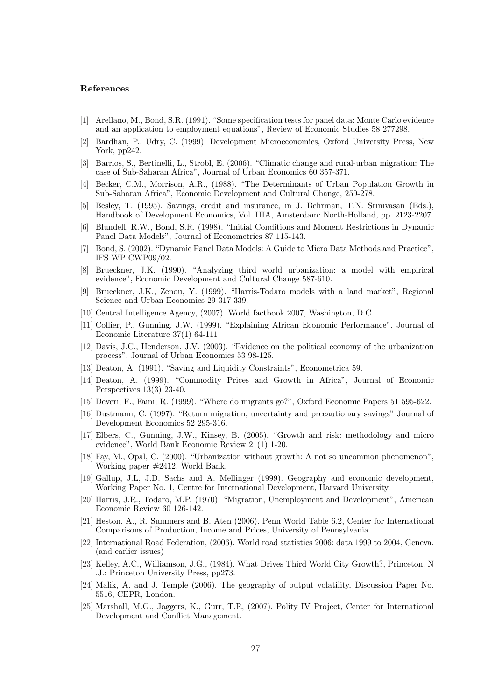#### References

- [1] Arellano, M., Bond, S.R. (1991). "Some specification tests for panel data: Monte Carlo evidence and an application to employment equations", Review of Economic Studies 58 277298.
- [2] Bardhan, P., Udry, C. (1999). Development Microeconomics, Oxford University Press, New York, pp242.
- [3] Barrios, S., Bertinelli, L., Strobl, E. (2006). "Climatic change and rural-urban migration: The case of Sub-Saharan Africa", Journal of Urban Economics 60 357-371.
- [4] Becker, C.M., Morrison, A.R., (1988). "The Determinants of Urban Population Growth in Sub-Saharan Africa", Economic Development and Cultural Change, 259-278.
- [5] Besley, T. (1995). Savings, credit and insurance, in J. Behrman, T.N. Srinivasan (Eds.), Handbook of Development Economics, Vol. IIIA, Amsterdam: North-Holland, pp. 2123-2207.
- [6] Blundell, R.W., Bond, S.R. (1998). "Initial Conditions and Moment Restrictions in Dynamic Panel Data Models", Journal of Econometrics 87 115-143.
- [7] Bond, S. (2002). "Dynamic Panel Data Models: A Guide to Micro Data Methods and Practice", IFS WP CWP09/02.
- [8] Brueckner, J.K. (1990). "Analyzing third world urbanization: a model with empirical evidence", Economic Development and Cultural Change 587-610.
- [9] Brueckner, J.K., Zenou, Y. (1999). "Harris-Todaro models with a land market", Regional Science and Urban Economics 29 317-339.
- [10] Central Intelligence Agency, (2007). World factbook 2007, Washington, D.C.
- [11] Collier, P., Gunning, J.W. (1999). "Explaining African Economic Performance", Journal of Economic Literature 37(1) 64-111.
- [12] Davis, J.C., Henderson, J.V. (2003). "Evidence on the political economy of the urbanization process", Journal of Urban Economics 53 98-125.
- [13] Deaton, A. (1991). "Saving and Liquidity Constraints", Econometrica 59.
- [14] Deaton, A. (1999). "Commodity Prices and Growth in Africa", Journal of Economic Perspectives 13(3) 23-40.
- [15] Deveri, F., Faini, R. (1999). "Where do migrants go?", Oxford Economic Papers 51 595-622.
- [16] Dustmann, C. (1997). "Return migration, uncertainty and precautionary savings" Journal of Development Economics 52 295-316.
- [17] Elbers, C., Gunning, J.W., Kinsey, B. (2005). "Growth and risk: methodology and micro evidence", World Bank Economic Review 21(1) 1-20.
- [18] Fay, M., Opal, C. (2000). "Urbanization without growth: A not so uncommon phenomenon", Working paper #2412, World Bank.
- [19] Gallup, J.L, J.D. Sachs and A. Mellinger (1999). Geography and economic development, Working Paper No. 1, Centre for International Development, Harvard University.
- [20] Harris, J.R., Todaro, M.P. (1970). "Migration, Unemployment and Development", American Economic Review 60 126-142.
- [21] Heston, A., R. Summers and B. Aten (2006). Penn World Table 6.2, Center for International Comparisons of Production, Income and Prices, University of Pennsylvania.
- [22] International Road Federation, (2006). World road statistics 2006: data 1999 to 2004, Geneva. (and earlier issues)
- [23] Kelley, A.C., Williamson, J.G., (1984). What Drives Third World City Growth?, Princeton, N .J.: Princeton University Press, pp273.
- [24] Malik, A. and J. Temple (2006). The geography of output volatility, Discussion Paper No. 5516, CEPR, London.
- [25] Marshall, M.G., Jaggers, K., Gurr, T.R, (2007). Polity IV Project, Center for International Development and Conflict Management.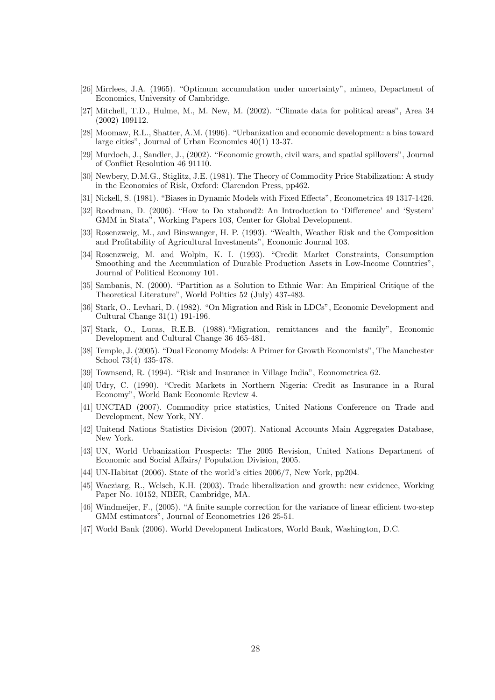- [26] Mirrlees, J.A. (1965). "Optimum accumulation under uncertainty", mimeo, Department of Economics, University of Cambridge.
- [27] Mitchell, T.D., Hulme, M., M. New, M. (2002). "Climate data for political areas", Area 34 (2002) 109112.
- [28] Moomaw, R.L., Shatter, A.M. (1996). "Urbanization and economic development: a bias toward large cities", Journal of Urban Economics 40(1) 13-37.
- [29] Murdoch, J., Sandler, J., (2002). "Economic growth, civil wars, and spatial spillovers", Journal of Conflict Resolution 46 91110.
- [30] Newbery, D.M.G., Stiglitz, J.E. (1981). The Theory of Commodity Price Stabilization: A study in the Economics of Risk, Oxford: Clarendon Press, pp462.
- [31] Nickell, S. (1981). "Biases in Dynamic Models with Fixed Effects", Econometrica 49 1317-1426.
- [32] Roodman, D. (2006). "How to Do xtabond2: An Introduction to 'Difference' and 'System' GMM in Stata", Working Papers 103, Center for Global Development.
- [33] Rosenzweig, M., and Binswanger, H. P. (1993). "Wealth, Weather Risk and the Composition and Profitability of Agricultural Investments", Economic Journal 103.
- [34] Rosenzweig, M. and Wolpin, K. I. (1993). "Credit Market Constraints, Consumption Smoothing and the Accumulation of Durable Production Assets in Low-Income Countries", Journal of Political Economy 101.
- [35] Sambanis, N. (2000). "Partition as a Solution to Ethnic War: An Empirical Critique of the Theoretical Literature", World Politics 52 (July) 437-483.
- [36] Stark, O., Levhari, D. (1982). "On Migration and Risk in LDCs", Economic Development and Cultural Change 31(1) 191-196.
- [37] Stark, O., Lucas, R.E.B. (1988)."Migration, remittances and the family", Economic Development and Cultural Change 36 465-481.
- [38] Temple, J. (2005). "Dual Economy Models: A Primer for Growth Economists", The Manchester School 73(4) 435-478.
- [39] Townsend, R. (1994). "Risk and Insurance in Village India", Econometrica 62.
- [40] Udry, C. (1990). "Credit Markets in Northern Nigeria: Credit as Insurance in a Rural Economy", World Bank Economic Review 4.
- [41] UNCTAD (2007). Commodity price statistics, United Nations Conference on Trade and Development, New York, NY.
- [42] Unitend Nations Statistics Division (2007). National Accounts Main Aggregates Database, New York.
- [43] UN, World Urbanization Prospects: The 2005 Revision, United Nations Department of Economic and Social Affairs/ Population Division, 2005.
- [44] UN-Habitat (2006). State of the world's cities 2006/7, New York, pp204.
- [45] Wacziarg, R., Welsch, K.H. (2003). Trade liberalization and growth: new evidence, Working Paper No. 10152, NBER, Cambridge, MA.
- [46] Windmeijer, F., (2005). "A finite sample correction for the variance of linear efficient two-step GMM estimators", Journal of Econometrics 126 25-51.
- [47] World Bank (2006). World Development Indicators, World Bank, Washington, D.C.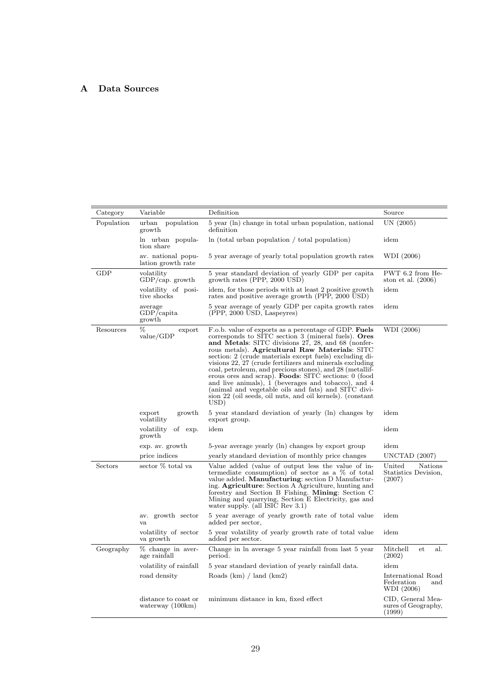### A Data Sources

| Category   | Variable                                 | Definition                                                                                                                                                                                                                                                                                                                                                                                                                                                                                                                                                                                                                                                 | Source                                                |
|------------|------------------------------------------|------------------------------------------------------------------------------------------------------------------------------------------------------------------------------------------------------------------------------------------------------------------------------------------------------------------------------------------------------------------------------------------------------------------------------------------------------------------------------------------------------------------------------------------------------------------------------------------------------------------------------------------------------------|-------------------------------------------------------|
| Population | population<br>urban<br>growth            | 5 year (ln) change in total urban population, national<br>definition                                                                                                                                                                                                                                                                                                                                                                                                                                                                                                                                                                                       | UN (2005)                                             |
|            | ln urban popula-<br>tion share           | $\ln$ (total urban population / total population)                                                                                                                                                                                                                                                                                                                                                                                                                                                                                                                                                                                                          | idem                                                  |
|            | av. national popu-<br>lation growth rate | 5 year average of yearly total population growth rates                                                                                                                                                                                                                                                                                                                                                                                                                                                                                                                                                                                                     | WDI (2006)                                            |
| GDP        | volatility<br>$GDP/cap.$ growth          | 5 year standard deviation of yearly GDP per capita<br>growth rates (PPP, $2000$ USD)                                                                                                                                                                                                                                                                                                                                                                                                                                                                                                                                                                       | PWT 6.2 from He-<br>ston et al. $(2006)$              |
|            | volatility of posi-<br>tive shocks       | idem, for those periods with at least 2 positive growth<br>rates and positive average growth (PPP, 2000 USD)                                                                                                                                                                                                                                                                                                                                                                                                                                                                                                                                               | idem                                                  |
|            | average<br>$GDP/c$ apita<br>growth       | 5 year average of yearly GDP per capita growth rates<br>(PPP, 2000 USD, Laspeyres)                                                                                                                                                                                                                                                                                                                                                                                                                                                                                                                                                                         | idem                                                  |
| Resources  | %<br>export<br>value/GDP                 | F.o.b. value of exports as a percentage of GDP. Fuels<br>corresponds to SITC section 3 (mineral fuels). Ores<br>and Metals: SITC divisions 27, 28, and 68 (nonfer-<br>rous metals). Agricultural Raw Materials: SITC<br>section: 2 (crude materials except fuels) excluding di-<br>visions 22, 27 (crude fertilizers and minerals excluding<br>coal, petroleum, and precious stones), and 28 (metallif-<br>erous ores and scrap). <b>Foods</b> : SITC sections: 0 (food<br>and live animals), 1 (beverages and tobacco), and 4<br>(animal and vegetable oils and fats) and SITC divi-<br>sion 22 (oil seeds, oil nuts, and oil kernels). (constant<br>USD) | WDI (2006)                                            |
|            | export<br>growth<br>volatility           | 5 year standard deviation of yearly (ln) changes by<br>export group.                                                                                                                                                                                                                                                                                                                                                                                                                                                                                                                                                                                       | idem                                                  |
|            | volatility<br>of exp.<br>growth          | idem                                                                                                                                                                                                                                                                                                                                                                                                                                                                                                                                                                                                                                                       | idem                                                  |
|            | exp. av. growth                          | 5-year average yearly (ln) changes by export group                                                                                                                                                                                                                                                                                                                                                                                                                                                                                                                                                                                                         | idem                                                  |
|            | price indices                            | yearly standard deviation of monthly price changes                                                                                                                                                                                                                                                                                                                                                                                                                                                                                                                                                                                                         | UNCTAD (2007)                                         |
| Sectors    | sector % total va                        | Value added (value of output less the value of in-<br>termediate consumption) of sector as a $\%$ of total<br>value added. Manufacturing: section D Manufactur-<br>ing. <b>Agriculture</b> : Section A Agriculture, hunting and<br>forestry and Section B Fishing. Mining: Section C<br>Mining and quarrying, Section E Electricity, gas and<br>water supply. (all ISIC Rev 3.1)                                                                                                                                                                                                                                                                           | United<br>Nations<br>Statistics Devision.<br>(2007)   |
|            | av. growth sector<br>va                  | 5 year average of yearly growth rate of total value<br>added per sector,                                                                                                                                                                                                                                                                                                                                                                                                                                                                                                                                                                                   | idem                                                  |
|            | volatility of sector<br>va growth        | 5 year volatility of yearly growth rate of total value<br>added per sector.                                                                                                                                                                                                                                                                                                                                                                                                                                                                                                                                                                                | idem                                                  |
| Geography  | % change in aver-<br>age rainfall        | Change in ln average 5 year rainfall from last 5 year<br>period.                                                                                                                                                                                                                                                                                                                                                                                                                                                                                                                                                                                           | Mitchell<br>et<br>al.<br>(2002)                       |
|            | volatility of rainfall                   | 5 year standard deviation of yearly rainfall data.                                                                                                                                                                                                                                                                                                                                                                                                                                                                                                                                                                                                         | idem                                                  |
|            | road density                             | Roads $(km)$ / land $(km2)$                                                                                                                                                                                                                                                                                                                                                                                                                                                                                                                                                                                                                                | International Road<br>Federation<br>and<br>WDI (2006) |
|            | distance to coast or<br>waterway (100km) | minimum distance in km, fixed effect                                                                                                                                                                                                                                                                                                                                                                                                                                                                                                                                                                                                                       | CID, General Mea-<br>sures of Geography,<br>(1999)    |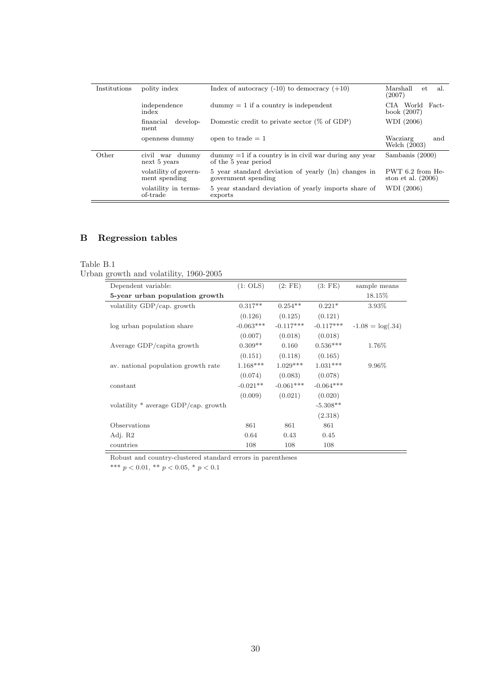| Institutions | polity index                           | Index of autocracy $(-10)$ to democracy $(+10)$                                             | Marshall<br>et.<br>al.<br>(2007)         |  |  |
|--------------|----------------------------------------|---------------------------------------------------------------------------------------------|------------------------------------------|--|--|
|              | independence<br>index                  | $d_{\text{dummy}} = 1$ if a country is independent                                          | CIA World Fact-<br>book (2007)           |  |  |
|              | financial<br>develop-<br>ment          | Domestic credit to private sector $(\%$ of GDP)                                             | WDI (2006)                               |  |  |
|              | openness dummy                         | open to trade $= 1$                                                                         | Wacziarg<br>and<br>Welch $(2003)$        |  |  |
| Other        | civil war dummy<br>next 5 years        | $d_{\text{dummy}} = 1$ if a country is in civil war during any year<br>of the 5 year period | Sambanis (2000)                          |  |  |
|              | volatility of govern-<br>ment spending | 5 year standard deviation of yearly (ln) changes in<br>government spending                  | PWT 6.2 from He-<br>ston et al. $(2006)$ |  |  |
|              | volatility in terms-<br>of-trade       | 5 year standard deviation of yearly imports share of<br>exports                             | WDI (2006)                               |  |  |

## B Regression tables

Table B.1

Urban growth and volatility, 1960-2005

| Dependent variable:                    | (1:OLS)     | (2:FE)      | (3:FE)      | sample means        |
|----------------------------------------|-------------|-------------|-------------|---------------------|
| 5-year urban population growth         |             |             |             | 18.15\%             |
| volatility GDP/cap. growth             | $0.317**$   | $0.254**$   | $0.221*$    | 3.93%               |
|                                        | (0.126)     | (0.125)     | (0.121)     |                     |
| log urban population share             | $-0.063***$ | $-0.117***$ | $-0.117***$ | $-1.08 = \log(.34)$ |
|                                        | (0.007)     | (0.018)     | (0.018)     |                     |
| Average GDP/capita growth              | $0.309**$   | 0.160       | $0.536***$  | 1.76%               |
|                                        | (0.151)     | (0.118)     | (0.165)     |                     |
| av. national population growth rate    | $1.168***$  | $1.029***$  | $1.031***$  | 9.96%               |
|                                        | (0.074)     | (0.083)     | (0.078)     |                     |
| constant                               | $-0.021**$  | $-0.061***$ | $-0.064***$ |                     |
|                                        | (0.009)     | (0.021)     | (0.020)     |                     |
| volatility $*$ average GDP/cap. growth |             |             | $-5.308**$  |                     |
|                                        |             |             | (2.318)     |                     |
| Observations                           | 861         | 861         | 861         |                     |
| Adj. R2                                | 0.64        | 0.43        | 0.45        |                     |
| countries                              | 108         | 108         | 108         |                     |

Robust and country-clustered standard errors in parentheses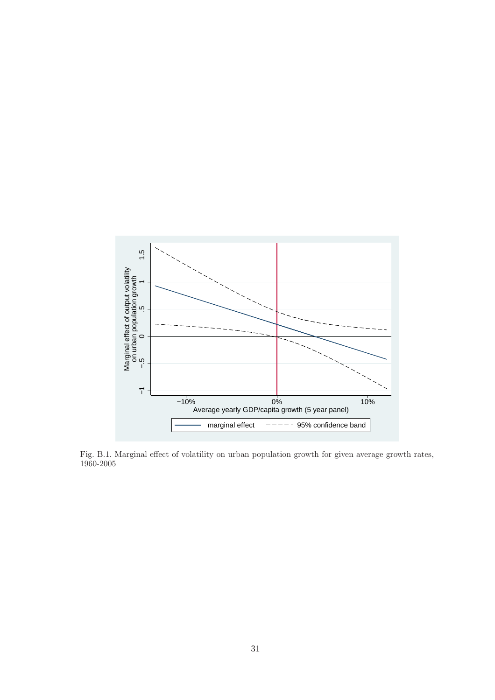

Fig. B.1. Marginal effect of volatility on urban population growth for given average growth rates, 1960-2005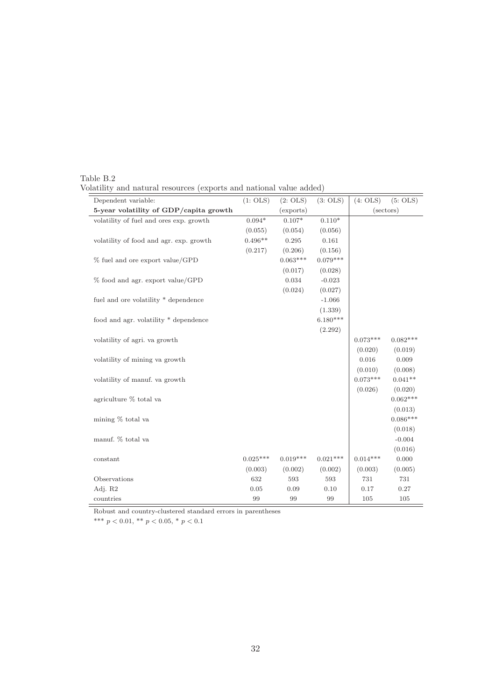| Table B.2 |                                                                     |
|-----------|---------------------------------------------------------------------|
|           | Volatility and natural resources (exports and national value added) |

| Dependent variable:                     | (1:OLS)    | (2:OLS)    | (3:OLS)    | (4:OLS)    | (5: OLS)   |
|-----------------------------------------|------------|------------|------------|------------|------------|
| 5-year volatility of GDP/capita growth  |            | (exports)  |            |            | (sectors)  |
| volatility of fuel and ores exp. growth | $0.094*$   | $0.107*$   | $0.110*$   |            |            |
|                                         | (0.055)    | (0.054)    | (0.056)    |            |            |
| volatility of food and agr. exp. growth | $0.496**$  | 0.295      | 0.161      |            |            |
|                                         | (0.217)    | (0.206)    | (0.156)    |            |            |
| % fuel and ore export value/GPD         |            | $0.063***$ | $0.079***$ |            |            |
|                                         |            | (0.017)    | (0.028)    |            |            |
| % food and agr. export value/GPD        |            | 0.034      | $-0.023$   |            |            |
|                                         |            | (0.024)    | (0.027)    |            |            |
| fuel and ore volatility * dependence    |            |            | $-1.066$   |            |            |
|                                         |            |            | (1.339)    |            |            |
| food and agr. volatility * dependence   |            |            | $6.180***$ |            |            |
|                                         |            |            | (2.292)    |            |            |
| volatility of agri. va growth           |            |            |            | $0.073***$ | $0.082***$ |
|                                         |            |            |            | (0.020)    | (0.019)    |
| volatility of mining va growth          |            |            |            | 0.016      | 0.009      |
|                                         |            |            |            | (0.010)    | (0.008)    |
| volatility of manuf. va growth          |            |            |            | $0.073***$ | $0.041**$  |
|                                         |            |            |            | (0.026)    | (0.020)    |
| agriculture % total va                  |            |            |            |            | $0.062***$ |
|                                         |            |            |            |            | (0.013)    |
| mining % total va                       |            |            |            |            | $0.086***$ |
|                                         |            |            |            |            | (0.018)    |
| manuf. % total va                       |            |            |            |            | $-0.004$   |
|                                         |            |            |            |            | (0.016)    |
| constant                                | $0.025***$ | $0.019***$ | $0.021***$ | $0.014***$ | 0.000      |
|                                         | (0.003)    | (0.002)    | (0.002)    | (0.003)    | (0.005)    |
| Observations                            | 632        | 593        | 593        | 731        | 731        |
| Adj. R2                                 | 0.05       | 0.09       | 0.10       | 0.17       | 0.27       |
| countries                               | 99         | 99         | 99         | 105        | 105        |

Robust and country-clustered standard errors in parentheses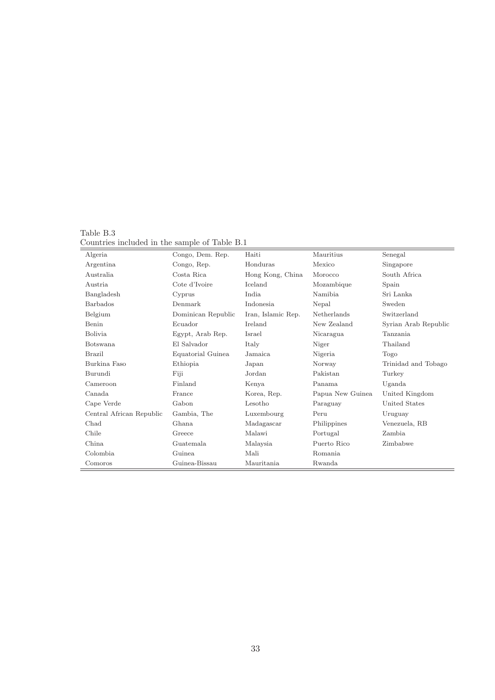Table B.3 Countries included in the sample of Table B.1

| Algeria                  | Congo, Dem. Rep.   | Haiti              | Mauritius        | Senegal              |
|--------------------------|--------------------|--------------------|------------------|----------------------|
| Argentina                | Congo, Rep.        | Honduras           | Mexico           | Singapore            |
| Australia                | Costa Rica         | Hong Kong, China   | Morocco          | South Africa         |
| Austria                  | Cote d'Ivoire      | Iceland            | Mozambique       | Spain                |
| Bangladesh               | Cyprus             | India              | Namibia.         | Sri Lanka            |
| <b>Barbados</b>          | Denmark            | <b>Indonesia</b>   | Nepal            | Sweden               |
| Belgium                  | Dominican Republic | Iran, Islamic Rep. | Netherlands      | Switzerland          |
| Benin                    | Ecuador            | Ireland            | New Zealand      | Syrian Arab Republic |
| <b>Bolivia</b>           | Egypt, Arab Rep.   | Israel             | Nicaragua        | Tanzania             |
| Botswana                 | El Salvador        | Italy              | Niger            | Thailand             |
| <b>Brazil</b>            | Equatorial Guinea  | Jamaica            | Nigeria          | Togo                 |
| Burkina Faso             | Ethiopia           | Japan              | Norway           | Trinidad and Tobago  |
| Burundi                  | Fiji               | Jordan             | Pakistan         | Turkey               |
| Cameroon                 | Finland            | Kenya              | Panama           | Uganda               |
| Canada                   | France             | Korea, Rep.        | Papua New Guinea | United Kingdom       |
| Cape Verde               | Gabon              | Lesotho            | Paraguay         | United States        |
| Central African Republic | Gambia, The        | Luxembourg         | Peru             | Uruguay              |
| Chad                     | Ghana              | Madagascar         | Philippines      | Venezuela, RB        |
| Chile                    | Greece             | Malawi             | Portugal         | Zambia               |
| China                    | Guatemala          | Malaysia           | Puerto Rico      | Zimbabwe             |
| Colombia                 | Guinea             | Mali               | Romania          |                      |
| Comoros                  | Guinea-Bissau      | Mauritania         | Rwanda           |                      |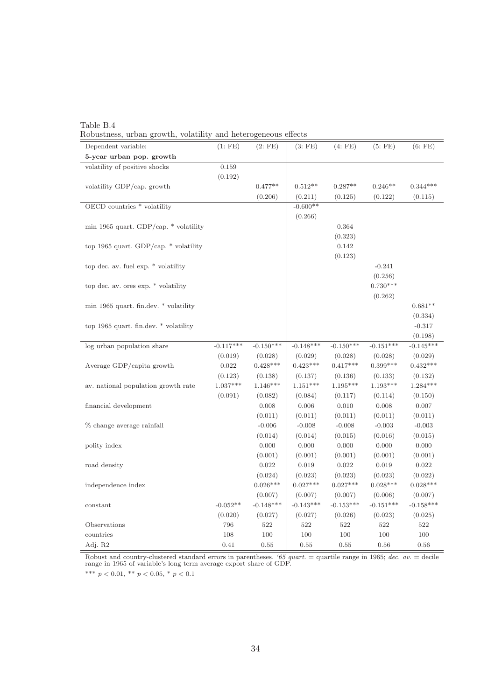Table B.4

Robustness, urban growth, volatility and heterogeneous effects

| Dependent variable:                     | (1; FE)     | (2:FE)      | (3:FE)      | (4:FE)      | (5:FE)      | (6:FE)      |
|-----------------------------------------|-------------|-------------|-------------|-------------|-------------|-------------|
| 5-year urban pop. growth                |             |             |             |             |             |             |
| volatility of positive shocks           | 0.159       |             |             |             |             |             |
|                                         | (0.192)     |             |             |             |             |             |
| volatility GDP/cap. growth              |             | $0.477**$   | $0.512**$   | $0.287**$   | $0.246**$   | $0.344***$  |
|                                         |             | (0.206)     | (0.211)     | (0.125)     | (0.122)     | (0.115)     |
| OECD countries * volatility             |             |             | $-0.600**$  |             |             |             |
|                                         |             |             | (0.266)     |             |             |             |
| min 1965 quart. GDP/cap. $*$ volatility |             |             |             | 0.364       |             |             |
|                                         |             |             |             | (0.323)     |             |             |
| top 1965 quart. GDP/cap. $*$ volatility |             |             |             | 0.142       |             |             |
|                                         |             |             |             | (0.123)     |             |             |
| top dec. av. fuel $\exp.*$ volatility   |             |             |             |             | $-0.241$    |             |
|                                         |             |             |             |             | (0.256)     |             |
| top dec. av. ores $\exp$ . * volatility |             |             |             |             | $0.730***$  |             |
|                                         |             |             |             |             | (0.262)     |             |
| min 1965 quart. fin.dev. * volatility   |             |             |             |             |             | $0.681**$   |
|                                         |             |             |             |             |             | (0.334)     |
| top 1965 quart. fin.dev. $*$ volatility |             |             |             |             |             | $-0.317$    |
|                                         |             |             |             |             |             | (0.198)     |
| log urban population share              | $-0.117***$ | $-0.150***$ | $-0.148***$ | $-0.150***$ | $-0.151***$ | $-0.145***$ |
|                                         | (0.019)     | (0.028)     | (0.029)     | (0.028)     | (0.028)     | (0.029)     |
| Average GDP/capita growth               | 0.022       | $0.428***$  | $0.423***$  | $0.417***$  | $0.399***$  | $0.432***$  |
|                                         | (0.123)     | (0.138)     | (0.137)     | (0.136)     | (0.133)     | (0.132)     |
| av. national population growth rate     | $1.037***$  | $1.146***$  | $1.151***$  | $1.195***$  | $1.193***$  | $1.284***$  |
|                                         | (0.091)     | (0.082)     | (0.084)     | (0.117)     | (0.114)     | (0.150)     |
| financial development                   |             | 0.008       | 0.006       | 0.010       | 0.008       | 0.007       |
|                                         |             | (0.011)     | (0.011)     | (0.011)     | (0.011)     | (0.011)     |
| % change average rainfall               |             | $-0.006$    | $-0.008$    | $-0.008$    | $-0.003$    | $-0.003$    |
|                                         |             | (0.014)     | (0.014)     | (0.015)     | (0.016)     | (0.015)     |
| polity index                            |             | 0.000       | 0.000       | 0.000       | 0.000       | 0.000       |
|                                         |             | (0.001)     | (0.001)     | (0.001)     | (0.001)     | (0.001)     |
| road density                            |             | 0.022       | 0.019       | 0.022       | 0.019       | 0.022       |
|                                         |             | (0.024)     | (0.023)     | (0.023)     | (0.023)     | (0.022)     |
| independence index                      |             | $0.026***$  | $0.027***$  | $0.027***$  | $0.028***$  | $0.028***$  |
|                                         |             | (0.007)     | (0.007)     | (0.007)     | (0.006)     | (0.007)     |
| constant                                | $-0.052**$  | $-0.148***$ | $-0.143***$ | $-0.153***$ | $-0.151***$ | $-0.158***$ |
|                                         | (0.020)     | (0.027)     | (0.027)     | (0.026)     | (0.023)     | (0.025)     |
| Observations                            | 796         | 522         | 522         | 522         | 522         | 522         |
| countries                               | 108         | 100         | 100         | 100         | 100         | 100         |
|                                         |             |             |             |             |             |             |

Robust and country-clustered standard errors in parentheses. '65 quart. = quartile range in 1965; dec. av. = decile range in 1965 of variable's long term average export share of GDP.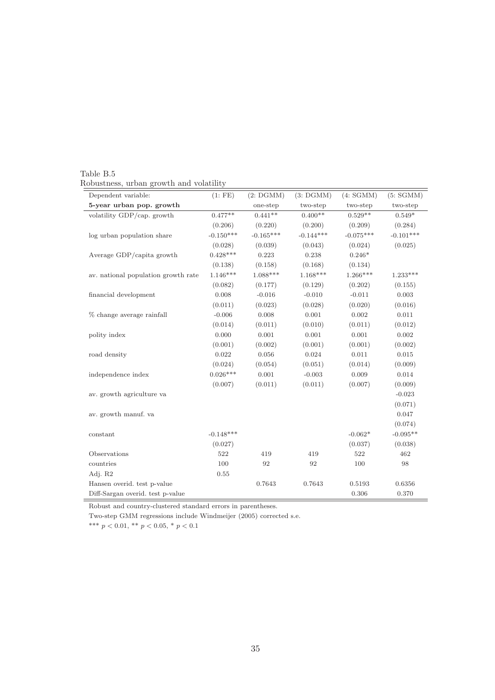| Table B.5                               |  |  |  |
|-----------------------------------------|--|--|--|
| Robustness, urban growth and volatility |  |  |  |

| Dependent variable:                 | (1: FE)     | $(2: DGMM)$ | (3: <b>DGMM</b> ) | (4: <b>SGMM</b> ) | (5: <b>SGMM</b> ) |
|-------------------------------------|-------------|-------------|-------------------|-------------------|-------------------|
| 5-year urban pop. growth            |             | one-step    | two-step          | two-step          | two-step          |
| volatility GDP/cap. growth          | $0.477**$   | $0.441**$   | $0.400**$         | $0.529**$         | $0.549*$          |
|                                     | (0.206)     | (0.220)     | (0.200)           | (0.209)           | (0.284)           |
| log urban population share          | $-0.150***$ | $-0.165***$ | $-0.144***$       | $-0.075***$       | $-0.101***$       |
|                                     | (0.028)     | (0.039)     | (0.043)           | (0.024)           | (0.025)           |
| Average GDP/capita growth           | $0.428***$  | 0.223       | 0.238             | $0.246*$          |                   |
|                                     | (0.138)     | (0.158)     | (0.168)           | (0.134)           |                   |
| av. national population growth rate | $1.146***$  | $1.088***$  | $1.168***$        | $1.266***$        | $1.233***$        |
|                                     | (0.082)     | (0.177)     | (0.129)           | (0.202)           | (0.155)           |
| financial development               | 0.008       | $-0.016$    | $-0.010$          | $-0.011$          | 0.003             |
|                                     | (0.011)     | (0.023)     | (0.028)           | (0.020)           | (0.016)           |
| $\%$ change average rainfall        | $-0.006$    | 0.008       | 0.001             | 0.002             | 0.011             |
|                                     | (0.014)     | (0.011)     | (0.010)           | (0.011)           | (0.012)           |
| polity index                        | 0.000       | 0.001       | 0.001             | 0.001             | 0.002             |
|                                     | (0.001)     | (0.002)     | (0.001)           | (0.001)           | (0.002)           |
| road density                        | 0.022       | 0.056       | 0.024             | 0.011             | 0.015             |
|                                     | (0.024)     | (0.054)     | (0.051)           | (0.014)           | (0.009)           |
| independence index                  | $0.026***$  | 0.001       | $-0.003$          | 0.009             | 0.014             |
|                                     | (0.007)     | (0.011)     | (0.011)           | (0.007)           | (0.009)           |
| av. growth agriculture va           |             |             |                   |                   | $-0.023$          |
|                                     |             |             |                   |                   | (0.071)           |
| av. growth manuf. va                |             |             |                   |                   | 0.047             |
|                                     |             |             |                   |                   | (0.074)           |
| constant                            | $-0.148***$ |             |                   | $-0.062*$         | $-0.095**$        |
|                                     | (0.027)     |             |                   | (0.037)           | (0.038)           |
| Observations                        | 522         | 419         | 419               | 522               | 462               |
| countries                           | 100         | 92          | 92                | 100               | 98                |
| Adj. R2                             | 0.55        |             |                   |                   |                   |
| Hansen overid. test p-value         |             | 0.7643      | 0.7643            | 0.5193            | 0.6356            |
| Diff-Sargan overid. test p-value    |             |             |                   | 0.306             | 0.370             |

Robust and country-clustered standard errors in parentheses.

Two-step GMM regressions include Windmeijer (2005) corrected s.e.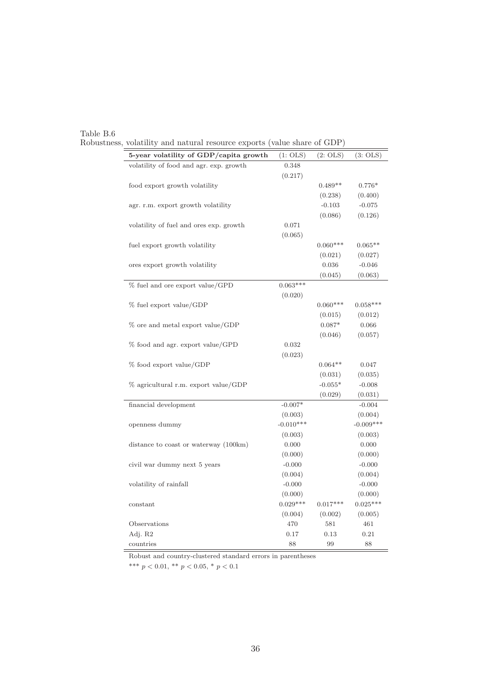#### Table B.6

Robustness, volatility and natural resource exports (value share of GDP)

| 5-year volatility of GDP/capita growth  | (1:OLS)     | (2:OLS)    | (3:OLS)     |
|-----------------------------------------|-------------|------------|-------------|
| volatility of food and agr. exp. growth | 0.348       |            |             |
|                                         | (0.217)     |            |             |
| food export growth volatility           |             | $0.489**$  | $0.776*$    |
|                                         |             | (0.238)    | (0.400)     |
| agr. r.m. export growth volatility      |             | $-0.103$   | $-0.075$    |
|                                         |             | (0.086)    | (0.126)     |
| volatility of fuel and ores exp. growth | 0.071       |            |             |
|                                         | (0.065)     |            |             |
| fuel export growth volatility           |             | $0.060***$ | $0.065**$   |
|                                         |             | (0.021)    | (0.027)     |
| ores export growth volatility           |             | 0.036      | $-0.046$    |
|                                         |             | (0.045)    | (0.063)     |
| % fuel and ore export value/GPD         | $0.063***$  |            |             |
|                                         | (0.020)     |            |             |
| % fuel export value/GDP                 |             | $0.060***$ | $0.058***$  |
|                                         |             | (0.015)    | (0.012)     |
| % ore and metal export value/GDP        |             | $0.087*$   | 0.066       |
|                                         |             | (0.046)    | (0.057)     |
| % food and agr. export value/GPD        | 0.032       |            |             |
|                                         | (0.023)     |            |             |
| % food export value/GDP                 |             | $0.064**$  | 0.047       |
|                                         |             | (0.031)    | (0.035)     |
| % agricultural r.m. export value/GDP    |             | $-0.055*$  | $-0.008$    |
|                                         |             | (0.029)    | (0.031)     |
| financial development                   | $-0.007*$   |            | $-0.004$    |
|                                         | (0.003)     |            | (0.004)     |
| openness dummy                          | $-0.010***$ |            | $-0.009***$ |
|                                         | (0.003)     |            | (0.003)     |
| distance to coast or waterway (100km)   | 0.000       |            | 0.000       |
|                                         | (0.000)     |            | (0.000)     |
| civil war dummy next 5 years            | $-0.000$    |            | $-0.000$    |
|                                         | (0.004)     |            | (0.004)     |
| volatility of rainfall                  | $-0.000$    |            | $-0.000$    |
|                                         | (0.000)     |            | (0.000)     |
| constant                                | $0.029***$  | $0.017***$ | $0.025***$  |
|                                         | (0.004)     | (0.002)    | (0.005)     |
| Observations                            | 470         | 581        | 461         |
| Adj. R2                                 | 0.17        | 0.13       | 0.21        |
| countries                               | 88          | 99         | 88          |

Robust and country-clustered standard errors in parentheses